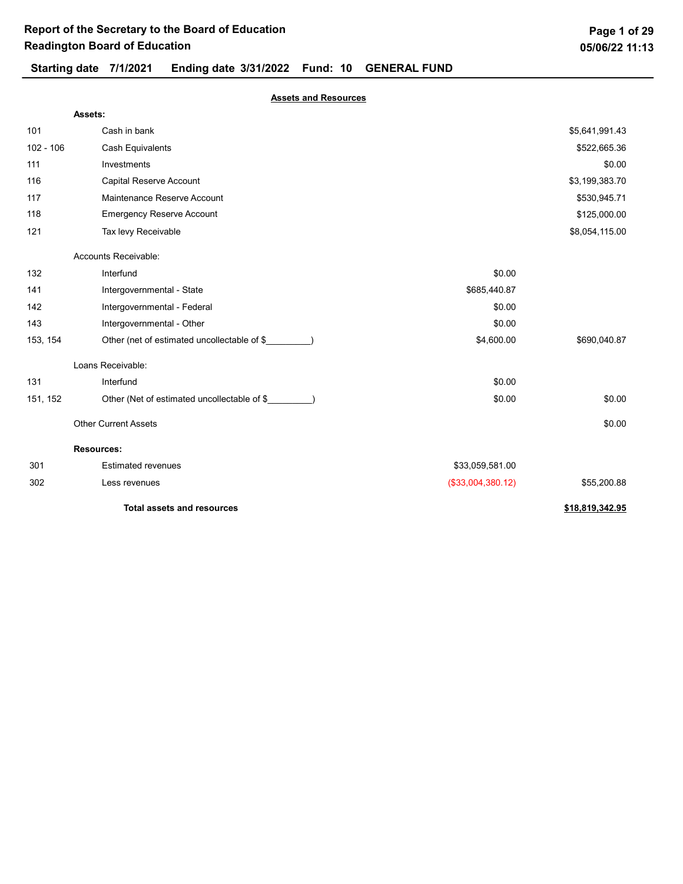## Starting date 7/1/2021 Ending date 3/31/2022 Fund: 10 GENERAL FUND

| Page 1 of 29   |  |
|----------------|--|
| 05/06/22 11:13 |  |

Assets and Resources

|             | Assets:                                     |                   |                 |
|-------------|---------------------------------------------|-------------------|-----------------|
| 101         | Cash in bank                                |                   | \$5,641,991.43  |
| $102 - 106$ | <b>Cash Equivalents</b>                     |                   | \$522,665.36    |
| 111         | Investments                                 |                   | \$0.00          |
| 116         | Capital Reserve Account                     |                   | \$3,199,383.70  |
| 117         | Maintenance Reserve Account                 |                   | \$530,945.71    |
| 118         | <b>Emergency Reserve Account</b>            |                   | \$125,000.00    |
| 121         | Tax levy Receivable                         |                   | \$8,054,115.00  |
|             | Accounts Receivable:                        |                   |                 |
| 132         | Interfund                                   | \$0.00            |                 |
| 141         | Intergovernmental - State                   | \$685,440.87      |                 |
| 142         | Intergovernmental - Federal                 | \$0.00            |                 |
| 143         | Intergovernmental - Other                   | \$0.00            |                 |
| 153, 154    | Other (net of estimated uncollectable of \$ | \$4,600.00        | \$690,040.87    |
|             | Loans Receivable:                           |                   |                 |
| 131         | Interfund                                   | \$0.00            |                 |
| 151, 152    | Other (Net of estimated uncollectable of \$ | \$0.00            | \$0.00          |
|             | <b>Other Current Assets</b>                 |                   | \$0.00          |
|             | <b>Resources:</b>                           |                   |                 |
| 301         | <b>Estimated revenues</b>                   | \$33,059,581.00   |                 |
| 302         | Less revenues                               | (\$33,004,380.12) | \$55,200.88     |
|             | <b>Total assets and resources</b>           |                   | \$18,819,342.95 |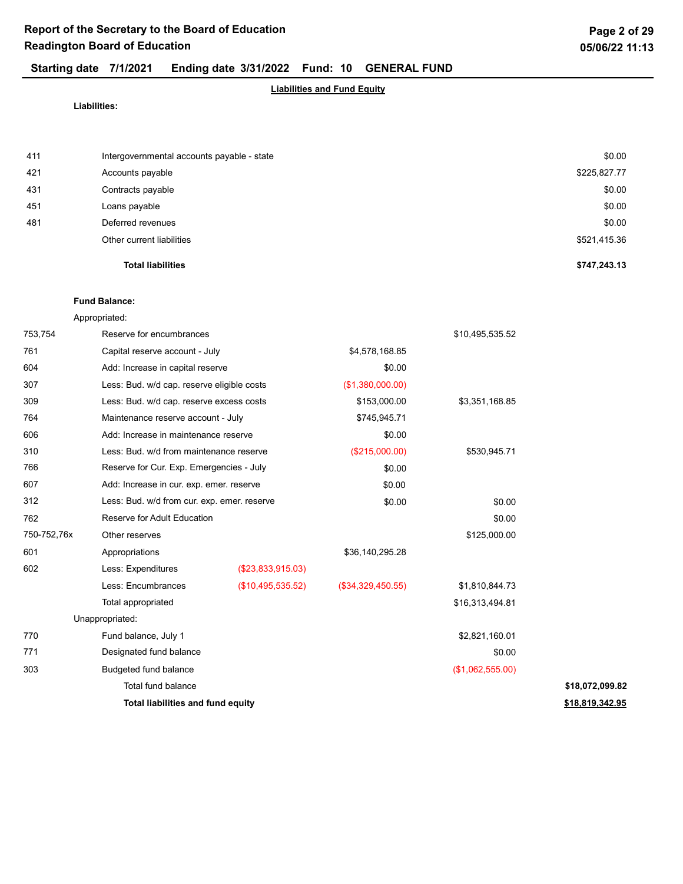## Liabilities and Fund Equity

Liabilities:

|     | <b>Total liabilities</b>                   | \$747,243.13 |
|-----|--------------------------------------------|--------------|
|     | Other current liabilities                  | \$521,415.36 |
| 481 | Deferred revenues                          | \$0.00       |
| 451 | Loans payable                              | \$0.00       |
| 431 | Contracts payable                          | \$0.00       |
| 421 | Accounts payable                           | \$225,827.77 |
| 411 | Intergovernmental accounts payable - state | \$0.00       |

### Fund Balance:

Appropriated:

| 753,754     | Reserve for encumbrances                    |                   |                   | \$10,495,535.52  |                 |
|-------------|---------------------------------------------|-------------------|-------------------|------------------|-----------------|
| 761         | Capital reserve account - July              |                   | \$4,578,168.85    |                  |                 |
| 604         | Add: Increase in capital reserve            |                   | \$0.00            |                  |                 |
| 307         | Less: Bud. w/d cap. reserve eligible costs  |                   | (\$1,380,000.00)  |                  |                 |
| 309         | Less: Bud. w/d cap. reserve excess costs    |                   | \$153,000.00      | \$3,351,168.85   |                 |
| 764         | Maintenance reserve account - July          |                   | \$745,945.71      |                  |                 |
| 606         | Add: Increase in maintenance reserve        |                   | \$0.00            |                  |                 |
| 310         | Less: Bud. w/d from maintenance reserve     |                   | (\$215,000.00)    | \$530,945.71     |                 |
| 766         | Reserve for Cur. Exp. Emergencies - July    |                   | \$0.00            |                  |                 |
| 607         | Add: Increase in cur. exp. emer. reserve    |                   | \$0.00            |                  |                 |
| 312         | Less: Bud. w/d from cur. exp. emer. reserve |                   | \$0.00            | \$0.00           |                 |
| 762         | Reserve for Adult Education                 |                   |                   | \$0.00           |                 |
| 750-752,76x | Other reserves                              |                   |                   | \$125,000.00     |                 |
| 601         | Appropriations                              |                   | \$36,140,295.28   |                  |                 |
| 602         | Less: Expenditures                          | (\$23,833,915.03) |                   |                  |                 |
|             | Less: Encumbrances                          | (\$10,495,535.52) | (\$34,329,450.55) | \$1,810,844.73   |                 |
|             | Total appropriated                          |                   |                   | \$16,313,494.81  |                 |
|             | Unappropriated:                             |                   |                   |                  |                 |
| 770         | Fund balance, July 1                        |                   |                   | \$2,821,160.01   |                 |
| 771         | Designated fund balance                     |                   |                   | \$0.00           |                 |
| 303         | Budgeted fund balance                       |                   |                   | (\$1,062,555.00) |                 |
|             | Total fund balance                          |                   |                   |                  | \$18,072,099.82 |
|             | Total liabilities and fund equity           |                   |                   |                  | \$18,819,342.95 |
|             |                                             |                   |                   |                  |                 |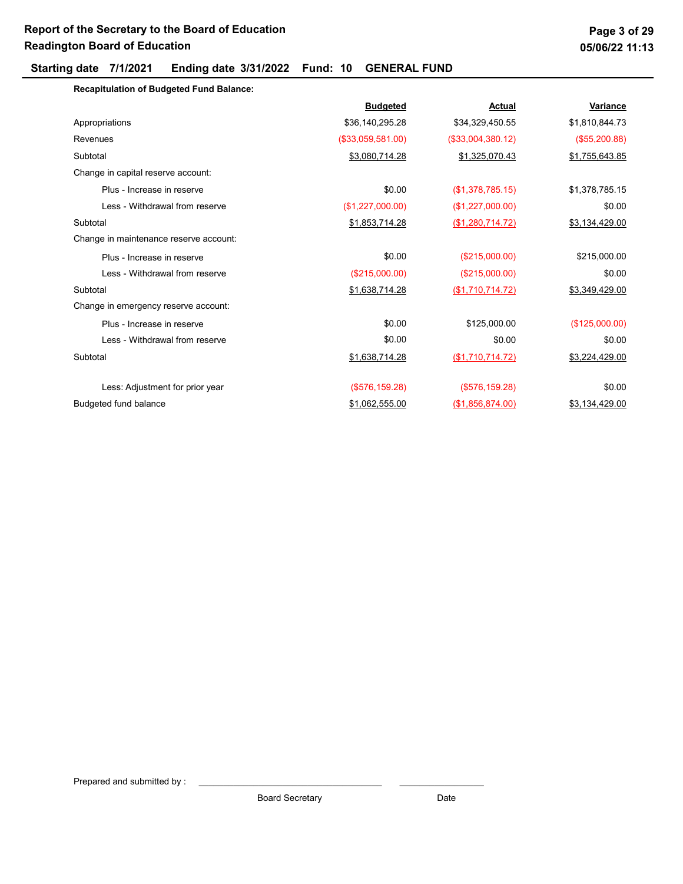Recapitulation of Budgeted Fund Balance:

|                                        | <b>Budgeted</b>   | <b>Actual</b>     | <b>Variance</b> |
|----------------------------------------|-------------------|-------------------|-----------------|
| Appropriations                         | \$36,140,295.28   | \$34,329,450.55   | \$1,810,844.73  |
| Revenues                               | (\$33,059,581.00) | (\$33,004,380.12) | (\$55,200.88)   |
| Subtotal                               | \$3,080,714.28    | \$1,325,070.43    | \$1,755,643.85  |
| Change in capital reserve account:     |                   |                   |                 |
| Plus - Increase in reserve             | \$0.00            | (\$1,378,785.15)  | \$1,378,785.15  |
| Less - Withdrawal from reserve         | (\$1,227,000.00)  | (\$1,227,000.00)  | \$0.00          |
| Subtotal                               | \$1,853,714.28    | (\$1,280,714.72)  | \$3,134,429.00  |
| Change in maintenance reserve account: |                   |                   |                 |
| Plus - Increase in reserve             | \$0.00            | (\$215,000.00)    | \$215,000.00    |
| Less - Withdrawal from reserve         | (\$215,000.00)    | (\$215,000.00)    | \$0.00          |
| Subtotal                               | \$1,638,714.28    | (\$1,710,714.72)  | \$3,349,429.00  |
| Change in emergency reserve account:   |                   |                   |                 |
| Plus - Increase in reserve             | \$0.00            | \$125,000.00      | (\$125,000.00)  |
| Less - Withdrawal from reserve         | \$0.00            | \$0.00            | \$0.00          |
| Subtotal                               | \$1,638,714.28    | (\$1,710,714.72)  | \$3,224,429.00  |
| Less: Adjustment for prior year        | (\$576, 159.28)   | $($ \$576,159.28) | \$0.00          |
| Budgeted fund balance                  | \$1,062,555.00    | (\$1,856,874.00)  | \$3,134,429.00  |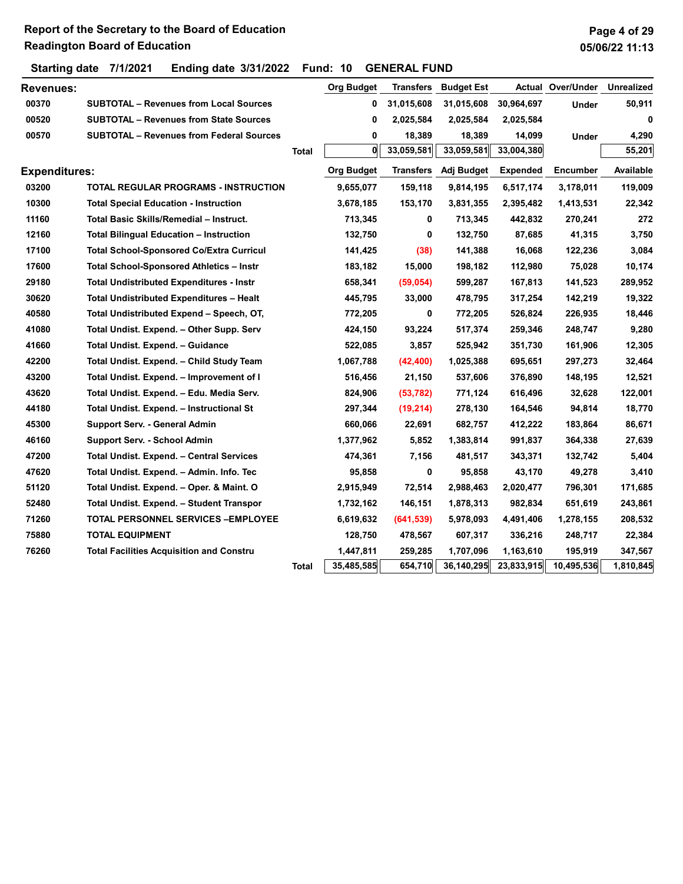## Page 4 of 29 05/06/22 11:13

| <b>Revenues:</b>     |                                                 |              | <b>Org Budget</b> | <b>Transfers</b> | <b>Budget Est</b> |                 | <b>Actual Over/Under</b> | <b>Unrealized</b> |
|----------------------|-------------------------------------------------|--------------|-------------------|------------------|-------------------|-----------------|--------------------------|-------------------|
| 00370                | <b>SUBTOTAL - Revenues from Local Sources</b>   |              | 0                 | 31,015,608       | 31,015,608        | 30,964,697      | <b>Under</b>             | 50,911            |
| 00520                | <b>SUBTOTAL - Revenues from State Sources</b>   |              | 0                 | 2,025,584        | 2,025,584         | 2,025,584       |                          | 0                 |
| 00570                | <b>SUBTOTAL - Revenues from Federal Sources</b> |              | 0                 | 18,389           | 18,389            | 14,099          | Under                    | 4,290             |
|                      |                                                 | <b>Total</b> | O                 | 33,059,581       | 33,059,581        | 33,004,380      |                          | 55,201            |
| <b>Expenditures:</b> |                                                 |              | <b>Org Budget</b> | <b>Transfers</b> | Adj Budget        | <b>Expended</b> | <b>Encumber</b>          | Available         |
| 03200                | <b>TOTAL REGULAR PROGRAMS - INSTRUCTION</b>     |              | 9,655,077         | 159,118          | 9,814,195         | 6,517,174       | 3,178,011                | 119,009           |
| 10300                | <b>Total Special Education - Instruction</b>    |              | 3,678,185         | 153,170          | 3,831,355         | 2,395,482       | 1,413,531                | 22,342            |
| 11160                | Total Basic Skills/Remedial - Instruct.         |              | 713,345           | 0                | 713,345           | 442,832         | 270,241                  | 272               |
| 12160                | <b>Total Bilingual Education - Instruction</b>  |              | 132,750           | 0                | 132,750           | 87,685          | 41,315                   | 3,750             |
| 17100                | <b>Total School-Sponsored Co/Extra Curricul</b> |              | 141,425           | (38)             | 141,388           | 16,068          | 122,236                  | 3,084             |
| 17600                | Total School-Sponsored Athletics - Instr        |              | 183,182           | 15,000           | 198,182           | 112,980         | 75,028                   | 10,174            |
| 29180                | <b>Total Undistributed Expenditures - Instr</b> |              | 658,341           | (59, 054)        | 599,287           | 167,813         | 141,523                  | 289,952           |
| 30620                | <b>Total Undistributed Expenditures - Healt</b> |              | 445,795           | 33,000           | 478,795           | 317,254         | 142,219                  | 19,322            |
| 40580                | Total Undistributed Expend - Speech, OT,        |              | 772,205           | 0                | 772,205           | 526,824         | 226,935                  | 18,446            |
| 41080                | Total Undist. Expend. - Other Supp. Serv        |              | 424,150           | 93,224           | 517,374           | 259,346         | 248,747                  | 9,280             |
| 41660                | Total Undist. Expend. - Guidance                |              | 522,085           | 3,857            | 525,942           | 351,730         | 161,906                  | 12,305            |
| 42200                | Total Undist. Expend. - Child Study Team        |              | 1,067,788         | (42, 400)        | 1,025,388         | 695,651         | 297,273                  | 32,464            |
| 43200                | Total Undist. Expend. - Improvement of I        |              | 516,456           | 21,150           | 537,606           | 376,890         | 148,195                  | 12,521            |
| 43620                | Total Undist. Expend. - Edu. Media Serv.        |              | 824,906           | (53, 782)        | 771,124           | 616,496         | 32,628                   | 122,001           |
| 44180                | Total Undist. Expend. - Instructional St        |              | 297,344           | (19, 214)        | 278,130           | 164,546         | 94,814                   | 18,770            |
| 45300                | Support Serv. - General Admin                   |              | 660,066           | 22,691           | 682,757           | 412,222         | 183,864                  | 86,671            |
| 46160                | Support Serv. - School Admin                    |              | 1,377,962         | 5,852            | 1,383,814         | 991,837         | 364,338                  | 27,639            |
| 47200                | Total Undist. Expend. - Central Services        |              | 474,361           | 7,156            | 481,517           | 343,371         | 132,742                  | 5,404             |
| 47620                | Total Undist. Expend. - Admin. Info. Tec        |              | 95,858            | 0                | 95,858            | 43,170          | 49,278                   | 3,410             |
| 51120                | Total Undist. Expend. - Oper. & Maint. O        |              | 2,915,949         | 72,514           | 2,988,463         | 2,020,477       | 796,301                  | 171,685           |
| 52480                | Total Undist. Expend. - Student Transpor        |              | 1,732,162         | 146,151          | 1,878,313         | 982,834         | 651,619                  | 243,861           |
| 71260                | <b>TOTAL PERSONNEL SERVICES -EMPLOYEE</b>       |              | 6,619,632         | (641, 539)       | 5,978,093         | 4,491,406       | 1,278,155                | 208,532           |
| 75880                | <b>TOTAL EQUIPMENT</b>                          |              | 128,750           | 478,567          | 607,317           | 336,216         | 248,717                  | 22,384            |
| 76260                | <b>Total Facilities Acquisition and Constru</b> |              | 1,447,811         | 259,285          | 1,707,096         | 1,163,610       | 195,919                  | 347,567           |
|                      |                                                 | Total        | 35,485,585        | 654,710          | 36,140,295        | 23,833,915      | 10,495,536               | 1,810,845         |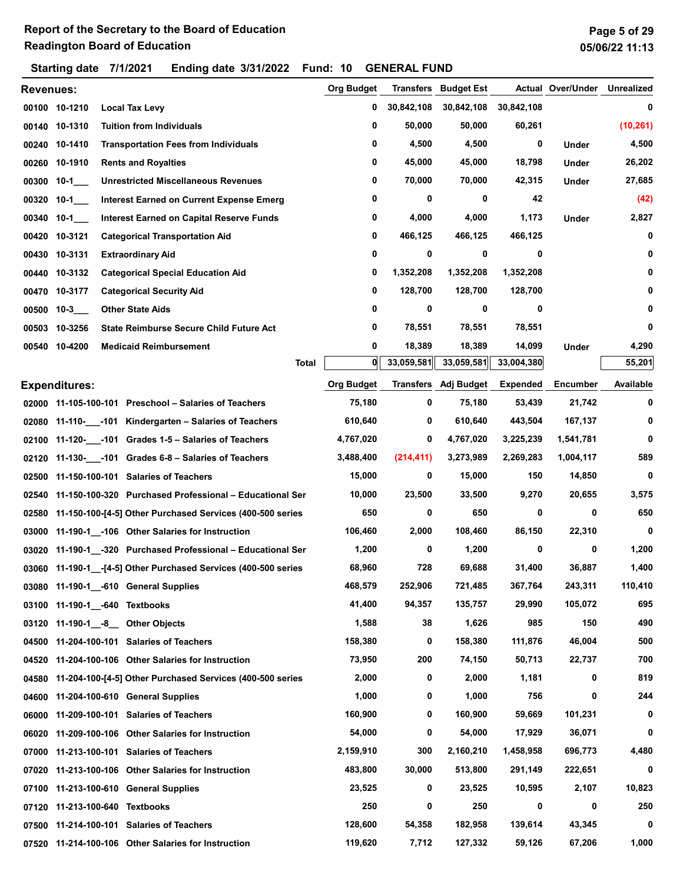|           | Starting date        | 7/1/2021                                  | Ending date $3/31/2022$                                         |       | Fund: 10          |        | <b>GENERAL FUND</b> |                             |                 |                   |                   |
|-----------|----------------------|-------------------------------------------|-----------------------------------------------------------------|-------|-------------------|--------|---------------------|-----------------------------|-----------------|-------------------|-------------------|
| Revenues: |                      |                                           |                                                                 |       | <b>Org Budget</b> |        |                     | <b>Transfers</b> Budget Est |                 | Actual Over/Under | <b>Unrealized</b> |
|           | 00100 10-1210        | <b>Local Tax Levy</b>                     |                                                                 |       |                   | 0      | 30,842,108          | 30,842,108                  | 30,842,108      |                   | 0                 |
|           | 00140 10-1310        | <b>Tuition from Individuals</b>           |                                                                 |       |                   | 0      | 50,000              | 50,000                      | 60,261          |                   | (10, 261)         |
|           | 00240 10-1410        |                                           | <b>Transportation Fees from Individuals</b>                     |       |                   | 0      | 4,500               | 4,500                       | 0               | Under             | 4,500             |
|           | 00260 10-1910        | <b>Rents and Royalties</b>                |                                                                 |       |                   | 0      | 45,000              | 45,000                      | 18,798          | Under             | 26,202            |
|           | 00300 10-1           |                                           | <b>Unrestricted Miscellaneous Revenues</b>                      |       |                   | 0      | 70,000              | 70,000                      | 42,315          | <b>Under</b>      | 27,685            |
| 00320     | 10-1                 |                                           | <b>Interest Earned on Current Expense Emerg</b>                 |       |                   | 0      | 0                   | 0                           | 42              |                   | (42)              |
| 00340     | 10-1                 |                                           | <b>Interest Earned on Capital Reserve Funds</b>                 |       |                   | 0      | 4,000               | 4,000                       | 1,173           | Under             | 2,827             |
| 00420     | 10-3121              |                                           | <b>Categorical Transportation Aid</b>                           |       |                   | 0      | 466,125             | 466,125                     | 466,125         |                   | 0                 |
| 00430     | 10-3131              | <b>Extraordinary Aid</b>                  |                                                                 |       |                   | 0      | 0                   | 0                           | 0               |                   | 0                 |
|           | 00440 10-3132        |                                           | <b>Categorical Special Education Aid</b>                        |       |                   | 0      | 1,352,208           | 1,352,208                   | 1,352,208       |                   | 0                 |
|           | 00470 10-3177        | <b>Categorical Security Aid</b>           |                                                                 |       |                   | 0      | 128,700             | 128,700                     | 128,700         |                   | 0                 |
| 00500     | $10-3$               | <b>Other State Aids</b>                   |                                                                 |       |                   | 0      | 0                   | 0                           | 0               |                   | 0                 |
|           | 00503 10-3256        |                                           | <b>State Reimburse Secure Child Future Act</b>                  |       |                   | 0      | 78,551              | 78,551                      | 78,551          |                   | 0                 |
|           | 00540 10-4200        | <b>Medicaid Reimbursement</b>             |                                                                 |       |                   | 0      | 18,389              | 18,389                      | 14,099          | Under             | 4,290             |
|           |                      |                                           |                                                                 | Total |                   | 0      | 33,059,581          | 33,059,581                  | 33,004,380      |                   | 55,201            |
|           | <b>Expenditures:</b> |                                           |                                                                 |       | <b>Org Budget</b> |        |                     | Transfers Adj Budget        | <b>Expended</b> | <b>Encumber</b>   | Available         |
|           |                      |                                           | 02000 11-105-100-101 Preschool - Salaries of Teachers           |       |                   | 75,180 | 0                   | 75,180                      | 53,439          | 21,742            | 0                 |
|           |                      |                                           | 02080 11-110- -101 Kindergarten - Salaries of Teachers          |       | 610,640           |        | 0                   | 610,640                     | 443,504         | 167,137           | 0                 |
| 02100     |                      |                                           | 11-120-___-101 Grades 1-5 - Salaries of Teachers                |       | 4,767,020         |        | 0                   | 4,767,020                   | 3,225,239       | 1,541,781         | 0                 |
| 02120     |                      |                                           | 11-130- -101 Grades 6-8 - Salaries of Teachers                  |       | 3,488,400         |        | (214, 411)          | 3,273,989                   | 2,269,283       | 1,004,117         | 589               |
| 02500     |                      | 11-150-100-101 Salaries of Teachers       |                                                                 |       |                   | 15,000 | 0                   | 15,000                      | 150             | 14,850            | 0                 |
| 02540     |                      |                                           | 11-150-100-320 Purchased Professional - Educational Ser         |       |                   | 10,000 | 23,500              | 33,500                      | 9,270           | 20,655            | 3,575             |
| 02580     |                      |                                           | 11-150-100-[4-5] Other Purchased Services (400-500 series       |       |                   | 650    | 0                   | 650                         | 0               | 0                 | 650               |
| 03000     |                      |                                           | 11-190-1 -106 Other Salaries for Instruction                    |       | 106,460           |        | 2,000               | 108,460                     | 86,150          | 22,310            | 0                 |
|           |                      |                                           | 03020 11-190-1 -320 Purchased Professional - Educational Ser    |       |                   | 1,200  | 0                   | 1,200                       | 0               | 0                 | 1,200             |
|           |                      |                                           | 03060 11-190-1__-[4-5] Other Purchased Services (400-500 series |       |                   | 68,960 | 728                 | 69,688                      | 31,400          | 36,887            | 1,400             |
|           |                      | 03080 11-190-1 -610 General Supplies      |                                                                 |       | 468,579           |        | 252,906             | 721,485                     | 367,764         | 243,311           | 110,410           |
|           |                      | 03100 11-190-1 -640 Textbooks             |                                                                 |       |                   | 41,400 | 94,357              | 135,757                     | 29,990          | 105,072           | 695               |
| 03120     |                      | 11-190-1 -8 Other Objects                 |                                                                 |       |                   | 1,588  | 38                  | 1,626                       | 985             | 150               | 490               |
| 04500     |                      | 11-204-100-101 Salaries of Teachers       |                                                                 |       | 158,380           |        | 0                   | 158,380                     | 111,876         | 46,004            | 500               |
| 04520     |                      |                                           | 11-204-100-106 Other Salaries for Instruction                   |       |                   | 73,950 | 200                 | 74,150                      | 50,713          | 22,737            | 700               |
| 04580     |                      |                                           | 11-204-100-[4-5] Other Purchased Services (400-500 series       |       |                   | 2,000  | 0                   | 2,000                       | 1,181           | 0                 | 819               |
| 04600     |                      | 11-204-100-610 General Supplies           |                                                                 |       |                   | 1,000  | 0                   | 1,000                       | 756             | 0                 | 244               |
| 06000     |                      | 11-209-100-101 Salaries of Teachers       |                                                                 |       | 160,900           |        | 0                   | 160,900                     | 59,669          | 101,231           | 0                 |
| 06020     |                      |                                           | 11-209-100-106 Other Salaries for Instruction                   |       |                   | 54,000 | 0                   | 54,000                      | 17,929          | 36,071            | 0                 |
|           |                      | 07000 11-213-100-101 Salaries of Teachers |                                                                 |       | 2,159,910         |        | 300                 | 2,160,210                   | 1,458,958       | 696,773           | 4,480             |
| 07020     |                      |                                           | 11-213-100-106 Other Salaries for Instruction                   |       | 483,800           |        | 30,000              | 513,800                     | 291,149         | 222,651           | 0                 |
|           |                      | 07100 11-213-100-610 General Supplies     |                                                                 |       |                   | 23,525 | 0                   | 23,525                      | 10,595          | 2,107             | 10,823            |
|           |                      | 07120 11-213-100-640 Textbooks            |                                                                 |       |                   | 250    | 0                   | 250                         | 0               | 0                 | 250               |
|           |                      | 07500 11-214-100-101 Salaries of Teachers |                                                                 |       | 128,600           |        | 54,358              | 182,958                     | 139,614         | 43,345            | 0                 |
|           |                      |                                           | 07520 11-214-100-106 Other Salaries for Instruction             |       | 119,620           |        | 7,712               | 127,332                     | 59,126          | 67,206            | 1,000             |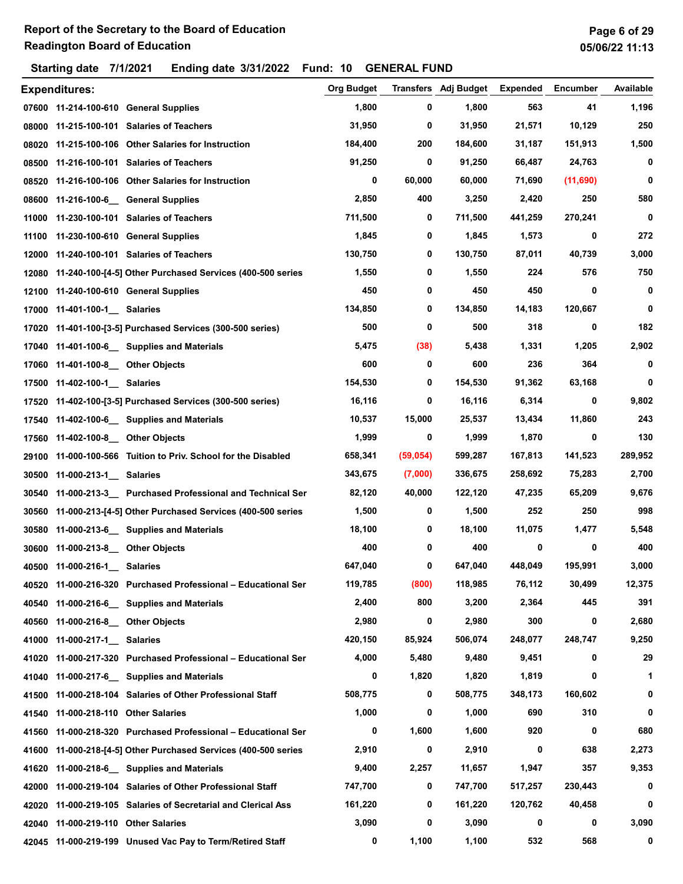|       | <b>Expenditures:</b>                |                                                                 | Org Budget |           | Transfers Adj Budget | <b>Expended</b> | <b>Encumber</b> | Available |
|-------|-------------------------------------|-----------------------------------------------------------------|------------|-----------|----------------------|-----------------|-----------------|-----------|
|       |                                     | 07600 11-214-100-610 General Supplies                           | 1,800      | 0         | 1,800                | 563             | 41              | 1,196     |
|       |                                     | 08000 11-215-100-101 Salaries of Teachers                       | 31,950     | 0         | 31,950               | 21,571          | 10,129          | 250       |
|       |                                     | 08020 11-215-100-106 Other Salaries for Instruction             | 184,400    | 200       | 184,600              | 31,187          | 151,913         | 1,500     |
|       |                                     | 08500 11-216-100-101 Salaries of Teachers                       | 91,250     | 0         | 91,250               | 66,487          | 24,763          | 0         |
|       |                                     | 08520 11-216-100-106 Other Salaries for Instruction             | 0          | 60,000    | 60,000               | 71,690          | (11,690)        | 0         |
|       |                                     | 08600 11-216-100-6_ General Supplies                            | 2,850      | 400       | 3,250                | 2,420           | 250             | 580       |
| 11000 |                                     | 11-230-100-101 Salaries of Teachers                             | 711,500    | 0         | 711,500              | 441,259         | 270,241         | 0         |
|       |                                     | 11100 11-230-100-610 General Supplies                           | 1,845      | 0         | 1,845                | 1,573           | 0               | 272       |
|       |                                     | 12000 11-240-100-101 Salaries of Teachers                       | 130,750    | 0         | 130,750              | 87,011          | 40,739          | 3,000     |
|       |                                     | 12080 11-240-100-[4-5] Other Purchased Services (400-500 series | 1,550      | 0         | 1,550                | 224             | 576             | 750       |
|       |                                     | 12100 11-240-100-610 General Supplies                           | 450        | 0         | 450                  | 450             | 0               | 0         |
|       | 17000 11-401-100-1 Salaries         |                                                                 | 134,850    | 0         | 134,850              | 14,183          | 120,667         | 0         |
|       |                                     | 17020 11-401-100-[3-5] Purchased Services (300-500 series)      | 500        | 0         | 500                  | 318             | 0               | 182       |
|       |                                     | 17040 11-401-100-6 Supplies and Materials                       | 5,475      | (38)      | 5,438                | 1,331           | 1,205           | 2,902     |
|       | 17060 11-401-100-8 __ Other Objects |                                                                 | 600        | 0         | 600                  | 236             | 364             | 0         |
|       | 17500 11-402-100-1 Salaries         |                                                                 | 154,530    | 0         | 154,530              | 91,362          | 63,168          | 0         |
|       |                                     | 17520 11-402-100-[3-5] Purchased Services (300-500 series)      | 16,116     | 0         | 16,116               | 6,314           | 0               | 9,802     |
|       |                                     | 17540 11-402-100-6 __ Supplies and Materials                    | 10,537     | 15,000    | 25,537               | 13,434          | 11,860          | 243       |
|       | 17560 11-402-100-8 Other Objects    |                                                                 | 1,999      | 0         | 1,999                | 1,870           | 0               | 130       |
| 29100 |                                     | 11-000-100-566 Tuition to Priv. School for the Disabled         | 658,341    | (59, 054) | 599,287              | 167,813         | 141,523         | 289,952   |
| 30500 | 11-000-213-1_ Salaries              |                                                                 | 343,675    | (7,000)   | 336,675              | 258,692         | 75,283          | 2,700     |
|       |                                     | 30540 11-000-213-3 Purchased Professional and Technical Ser     | 82,120     | 40,000    | 122,120              | 47,235          | 65,209          | 9,676     |
|       |                                     | 30560 11-000-213-[4-5] Other Purchased Services (400-500 series | 1,500      | 0         | 1,500                | 252             | 250             | 998       |
| 30580 |                                     | 11-000-213-6 Supplies and Materials                             | 18,100     | 0         | 18,100               | 11,075          | 1,477           | 5,548     |
|       | 30600 11-000-213-8 Other Objects    |                                                                 | 400        | 0         | 400                  | 0               | 0               | 400       |
|       | 40500 11-000-216-1 Salaries         |                                                                 | 647,040    | 0         | 647,040              | 448,049         | 195,991         | 3,000     |
|       |                                     | 40520 11-000-216-320 Purchased Professional - Educational Ser   | 119,785    | (800)     | 118,985              | 76,112          | 30,499          | 12,375    |
| 40540 |                                     | 11-000-216-6_ Supplies and Materials                            | 2,400      | 800       | 3,200                | 2,364           | 445             | 391       |
|       | 40560 11-000-216-8 Other Objects    |                                                                 | 2,980      | 0         | 2,980                | 300             | 0               | 2,680     |
|       | 41000 11-000-217-1 Salaries         |                                                                 | 420,150    | 85,924    | 506,074              | 248,077         | 248,747         | 9,250     |
|       |                                     | 41020 11-000-217-320 Purchased Professional - Educational Ser   | 4,000      | 5,480     | 9,480                | 9,451           | 0               | 29        |
|       |                                     | 41040 11-000-217-6 Supplies and Materials                       | 0          | 1,820     | 1,820                | 1,819           | 0               | 1         |
|       |                                     | 41500 11-000-218-104 Salaries of Other Professional Staff       | 508,775    | 0         | 508,775              | 348,173         | 160,602         | 0         |
|       | 41540 11-000-218-110 Other Salaries |                                                                 | 1,000      | 0         | 1,000                | 690             | 310             | 0         |
|       |                                     | 41560 11-000-218-320 Purchased Professional - Educational Ser   | 0          | 1,600     | 1,600                | 920             | 0               | 680       |
| 41600 |                                     | 11-000-218-[4-5] Other Purchased Services (400-500 series       | 2,910      | 0         | 2,910                | 0               | 638             | 2,273     |
|       |                                     | 41620 11-000-218-6 Supplies and Materials                       | 9,400      | 2,257     | 11,657               | 1,947           | 357             | 9,353     |
|       |                                     | 42000 11-000-219-104 Salaries of Other Professional Staff       | 747,700    | 0         | 747,700              | 517,257         | 230,443         | 0         |
|       |                                     | 42020 11-000-219-105 Salaries of Secretarial and Clerical Ass   | 161,220    | 0         | 161,220              | 120,762         | 40,458          | 0         |
|       | 42040 11-000-219-110 Other Salaries |                                                                 | 3,090      | 0         | 3,090                | 0               | 0               | 3,090     |
|       |                                     | 42045 11-000-219-199 Unused Vac Pay to Term/Retired Staff       | 0          | 1,100     | 1,100                | 532             | 568             | 0         |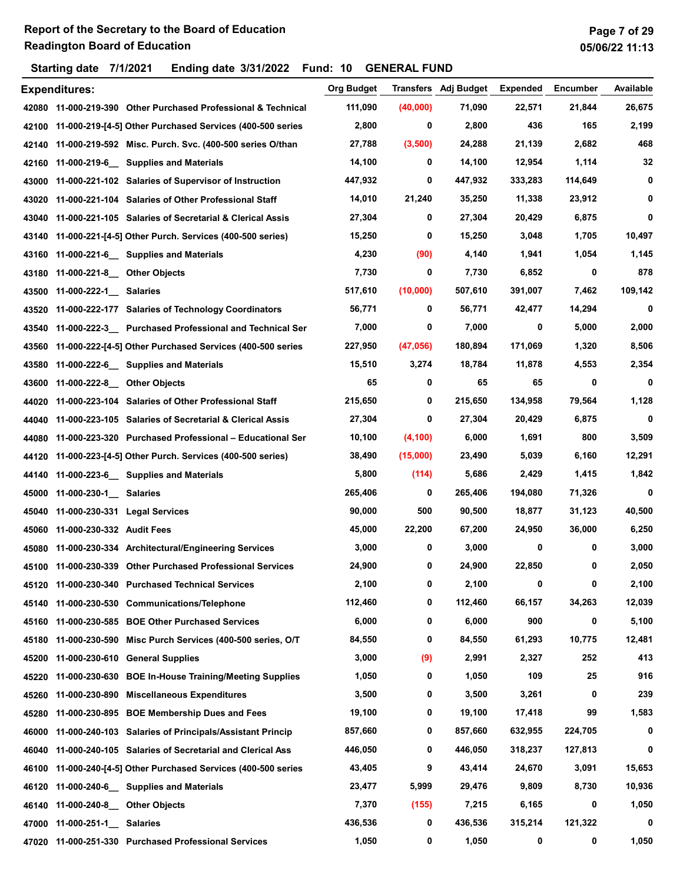|       | <b>Expenditures:</b>          |                                                               | <b>Org Budget</b> | Transfers | Adj Budget | <b>Expended</b> | <b>Encumber</b> | Available |
|-------|-------------------------------|---------------------------------------------------------------|-------------------|-----------|------------|-----------------|-----------------|-----------|
|       |                               | 42080 11-000-219-390 Other Purchased Professional & Technical | 111,090           | (40,000)  | 71,090     | 22,571          | 21,844          | 26,675    |
| 42100 |                               | 11-000-219-[4-5] Other Purchased Services (400-500 series     | 2,800             | 0         | 2,800      | 436             | 165             | 2,199     |
| 42140 |                               | 11-000-219-592 Misc. Purch. Svc. (400-500 series O/than       | 27,788            | (3,500)   | 24,288     | 21,139          | 2,682           | 468       |
| 42160 |                               | 11-000-219-6 Supplies and Materials                           | 14,100            | 0         | 14,100     | 12,954          | 1,114           | 32        |
| 43000 |                               | 11-000-221-102 Salaries of Supervisor of Instruction          | 447,932           | 0         | 447,932    | 333,283         | 114,649         | 0         |
| 43020 |                               | 11-000-221-104 Salaries of Other Professional Staff           | 14,010            | 21,240    | 35,250     | 11,338          | 23,912          | 0         |
| 43040 |                               | 11-000-221-105 Salaries of Secretarial & Clerical Assis       | 27,304            | 0         | 27,304     | 20,429          | 6,875           | 0         |
| 43140 |                               | 11-000-221-[4-5] Other Purch. Services (400-500 series)       | 15,250            | 0         | 15,250     | 3,048           | 1,705           | 10,497    |
| 43160 |                               | 11-000-221-6 __ Supplies and Materials                        | 4,230             | (90)      | 4,140      | 1,941           | 1,054           | 1,145     |
| 43180 | 11-000-221-8 Other Objects    |                                                               | 7,730             | 0         | 7,730      | 6,852           | 0               | 878       |
| 43500 | 11-000-222-1 Salaries         |                                                               | 517,610           | (10,000)  | 507,610    | 391,007         | 7,462           | 109,142   |
| 43520 |                               | 11-000-222-177 Salaries of Technology Coordinators            | 56,771            | 0         | 56,771     | 42,477          | 14,294          | 0         |
| 43540 |                               | 11-000-222-3_ Purchased Professional and Technical Ser        | 7,000             | 0         | 7,000      | 0               | 5,000           | 2,000     |
| 43560 |                               | 11-000-222-[4-5] Other Purchased Services (400-500 series     | 227,950           | (47, 056) | 180,894    | 171,069         | 1,320           | 8,506     |
| 43580 |                               | 11-000-222-6_ Supplies and Materials                          | 15,510            | 3,274     | 18,784     | 11,878          | 4,553           | 2,354     |
| 43600 | 11-000-222-8 Other Objects    |                                                               | 65                | 0         | 65         | 65              | 0               | 0         |
| 44020 |                               | 11-000-223-104 Salaries of Other Professional Staff           | 215,650           | 0         | 215,650    | 134,958         | 79,564          | 1,128     |
| 44040 |                               | 11-000-223-105 Salaries of Secretarial & Clerical Assis       | 27,304            | 0         | 27,304     | 20,429          | 6,875           | 0         |
| 44080 |                               | 11-000-223-320 Purchased Professional - Educational Ser       | 10,100            | (4, 100)  | 6,000      | 1,691           | 800             | 3,509     |
| 44120 |                               | 11-000-223-[4-5] Other Purch. Services (400-500 series)       | 38,490            | (15,000)  | 23,490     | 5,039           | 6,160           | 12,291    |
| 44140 |                               | 11-000-223-6_ Supplies and Materials                          | 5,800             | (114)     | 5,686      | 2,429           | 1,415           | 1,842     |
| 45000 | 11-000-230-1 Salaries         |                                                               | 265,406           | 0         | 265,406    | 194,080         | 71,326          | 0         |
| 45040 | 11-000-230-331 Legal Services |                                                               | 90,000            | 500       | 90,500     | 18,877          | 31,123          | 40,500    |
| 45060 | 11-000-230-332 Audit Fees     |                                                               | 45,000            | 22,200    | 67,200     | 24,950          | 36,000          | 6,250     |
| 45080 |                               | 11-000-230-334 Architectural/Engineering Services             | 3,000             | 0         | 3,000      | 0               | 0               | 3,000     |
|       |                               | 45100 11-000-230-339 Other Purchased Professional Services    | 24,900            | 0         | 24,900     | 22,850          | 0               | 2,050     |
| 45120 |                               | 11-000-230-340 Purchased Technical Services                   | 2,100             | 0         | 2,100      | 0               | 0               | 2,100     |
| 45140 |                               | 11-000-230-530 Communications/Telephone                       | 112,460           | 0         | 112,460    | 66,157          | 34,263          | 12,039    |
| 45160 |                               | 11-000-230-585 BOE Other Purchased Services                   | 6,000             | 0         | 6,000      | 900             | 0               | 5,100     |
| 45180 |                               | 11-000-230-590 Misc Purch Services (400-500 series, O/T       | 84,550            | 0         | 84,550     | 61,293          | 10,775          | 12,481    |
| 45200 |                               | 11-000-230-610 General Supplies                               | 3,000             | (9)       | 2,991      | 2,327           | 252             | 413       |
| 45220 |                               | 11-000-230-630 BOE In-House Training/Meeting Supplies         | 1,050             | 0         | 1,050      | 109             | 25              | 916       |
| 45260 |                               | 11-000-230-890 Miscellaneous Expenditures                     | 3,500             | 0         | 3,500      | 3,261           | 0               | 239       |
| 45280 |                               | 11-000-230-895 BOE Membership Dues and Fees                   | 19,100            | 0         | 19,100     | 17,418          | 99              | 1,583     |
| 46000 |                               | 11-000-240-103 Salaries of Principals/Assistant Princip       | 857,660           | 0         | 857,660    | 632,955         | 224,705         | 0         |
| 46040 |                               | 11-000-240-105 Salaries of Secretarial and Clerical Ass       | 446,050           | 0         | 446,050    | 318,237         | 127,813         | 0         |
| 46100 |                               | 11-000-240-[4-5] Other Purchased Services (400-500 series     | 43,405            | 9         | 43,414     | 24,670          | 3,091           | 15,653    |
| 46120 |                               | 11-000-240-6_ Supplies and Materials                          | 23,477            | 5,999     | 29,476     | 9,809           | 8,730           | 10,936    |
| 46140 | 11-000-240-8 Other Objects    |                                                               | 7,370             | (155)     | 7,215      | 6,165           | 0               | 1,050     |
| 47000 | 11-000-251-1 Salaries         |                                                               | 436,536           | 0         | 436,536    | 315,214         | 121,322         | 0         |
| 47020 |                               | 11-000-251-330 Purchased Professional Services                | 1,050             | 0         | 1,050      | 0               | 0               | 1,050     |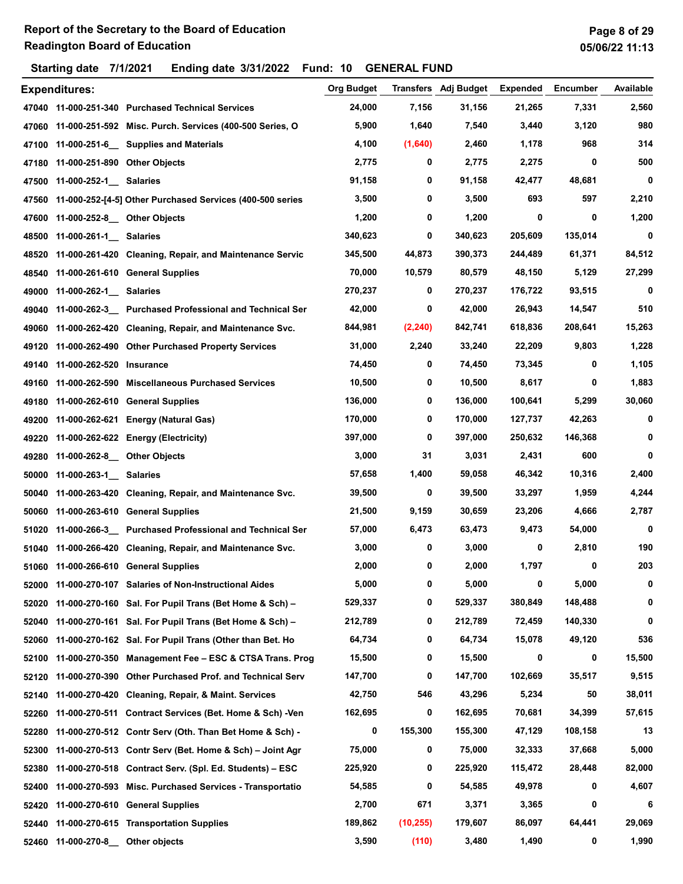|       | ັ                                  |                                                                 |                   |           |                             |                 |                 |           |
|-------|------------------------------------|-----------------------------------------------------------------|-------------------|-----------|-----------------------------|-----------------|-----------------|-----------|
|       | <b>Expenditures:</b>               |                                                                 | <b>Org Budget</b> |           | <b>Transfers</b> Adj Budget | <b>Expended</b> | <b>Encumber</b> | Available |
|       |                                    | 47040 11-000-251-340 Purchased Technical Services               | 24,000            | 7,156     | 31,156                      | 21,265          | 7,331           | 2,560     |
|       |                                    | 47060 11-000-251-592 Misc. Purch. Services (400-500 Series, O   | 5,900             | 1,640     | 7,540                       | 3,440           | 3,120           | 980       |
| 47100 |                                    | 11-000-251-6 __ Supplies and Materials                          | 4,100             | (1,640)   | 2,460                       | 1,178           | 968             | 314       |
|       | 47180 11-000-251-890 Other Objects |                                                                 | 2,775             | 0         | 2,775                       | 2,275           | 0               | 500       |
| 47500 | 11-000-252-1 Salaries              |                                                                 | 91,158            | 0         | 91,158                      | 42,477          | 48,681          | 0         |
|       |                                    | 47560 11-000-252-[4-5] Other Purchased Services (400-500 series | 3,500             | 0         | 3,500                       | 693             | 597             | 2,210     |
| 47600 | 11-000-252-8 __ Other Objects      |                                                                 | 1,200             | 0         | 1,200                       | 0               | 0               | 1,200     |
| 48500 | 11-000-261-1 Salaries              |                                                                 | 340,623           | 0         | 340,623                     | 205,609         | 135,014         | 0         |
| 48520 |                                    | 11-000-261-420 Cleaning, Repair, and Maintenance Servic         | 345,500           | 44,873    | 390,373                     | 244,489         | 61,371          | 84,512    |
| 48540 |                                    | 11-000-261-610 General Supplies                                 | 70,000            | 10,579    | 80,579                      | 48,150          | 5,129           | 27,299    |
| 49000 | 11-000-262-1 Salaries              |                                                                 | 270,237           | 0         | 270,237                     | 176,722         | 93,515          | 0         |
| 49040 |                                    | 11-000-262-3 Purchased Professional and Technical Ser           | 42,000            | 0         | 42,000                      | 26,943          | 14,547          | 510       |
| 49060 |                                    | 11-000-262-420 Cleaning, Repair, and Maintenance Svc.           | 844,981           | (2, 240)  | 842,741                     | 618,836         | 208,641         | 15,263    |
| 49120 |                                    | 11-000-262-490 Other Purchased Property Services                | 31,000            | 2,240     | 33,240                      | 22,209          | 9,803           | 1,228     |
| 49140 | 11-000-262-520 Insurance           |                                                                 | 74,450            | 0         | 74,450                      | 73,345          | 0               | 1,105     |
| 49160 |                                    | 11-000-262-590 Miscellaneous Purchased Services                 | 10,500            | 0         | 10,500                      | 8,617           | 0               | 1,883     |
| 49180 |                                    | 11-000-262-610 General Supplies                                 | 136,000           | 0         | 136,000                     | 100,641         | 5,299           | 30,060    |
| 49200 |                                    | 11-000-262-621 Energy (Natural Gas)                             | 170,000           | 0         | 170,000                     | 127,737         | 42,263          | 0         |
| 49220 |                                    | 11-000-262-622 Energy (Electricity)                             | 397,000           | 0         | 397,000                     | 250,632         | 146,368         | 0         |
| 49280 | 11-000-262-8 Other Objects         |                                                                 | 3,000             | 31        | 3,031                       | 2,431           | 600             | 0         |
| 50000 | 11-000-263-1 Salaries              |                                                                 | 57,658            | 1,400     | 59,058                      | 46,342          | 10,316          | 2,400     |
| 50040 |                                    | 11-000-263-420 Cleaning, Repair, and Maintenance Svc.           | 39,500            | 0         | 39,500                      | 33,297          | 1,959           | 4,244     |
| 50060 |                                    | 11-000-263-610 General Supplies                                 | 21,500            | 9,159     | 30,659                      | 23,206          | 4,666           | 2,787     |
| 51020 |                                    | 11-000-266-3_ Purchased Professional and Technical Ser          | 57,000            | 6,473     | 63,473                      | 9,473           | 54,000          | 0         |
| 51040 |                                    | 11-000-266-420 Cleaning, Repair, and Maintenance Svc.           | 3,000             | 0         | 3,000                       | 0               | 2,810           | 190       |
|       |                                    | 51060 11-000-266-610 General Supplies                           | 2,000             | 0         | 2,000                       | 1,797           | 0               | 203       |
| 52000 |                                    | 11-000-270-107 Salaries of Non-Instructional Aides              | 5,000             | 0         | 5,000                       | 0               | 5,000           | 0         |
| 52020 |                                    | 11-000-270-160 Sal. For Pupil Trans (Bet Home & Sch) -          | 529,337           | 0         | 529,337                     | 380,849         | 148,488         | 0         |
| 52040 |                                    | 11-000-270-161 Sal. For Pupil Trans (Bet Home & Sch) -          | 212,789           | 0         | 212,789                     | 72,459          | 140,330         | 0         |
| 52060 |                                    | 11-000-270-162 Sal. For Pupil Trans (Other than Bet. Ho         | 64,734            | 0         | 64,734                      | 15,078          | 49,120          | 536       |
| 52100 |                                    | 11-000-270-350 Management Fee - ESC & CTSA Trans. Prog          | 15,500            | 0         | 15,500                      | 0               | 0               | 15,500    |
| 52120 |                                    | 11-000-270-390 Other Purchased Prof. and Technical Serv         | 147,700           | 0         | 147,700                     | 102,669         | 35,517          | 9,515     |
| 52140 |                                    | 11-000-270-420 Cleaning, Repair, & Maint. Services              | 42,750            | 546       | 43,296                      | 5,234           | 50              | 38,011    |
| 52260 |                                    | 11-000-270-511 Contract Services (Bet. Home & Sch) -Ven         | 162,695           | 0         | 162,695                     | 70,681          | 34,399          | 57,615    |
| 52280 |                                    | 11-000-270-512 Contr Serv (Oth. Than Bet Home & Sch) -          | 0                 | 155,300   | 155,300                     | 47,129          | 108,158         | 13        |
| 52300 |                                    | 11-000-270-513 Contr Serv (Bet. Home & Sch) - Joint Agr         | 75,000            | 0         | 75,000                      | 32,333          | 37,668          | 5,000     |
| 52380 |                                    | 11-000-270-518 Contract Serv. (Spl. Ed. Students) – ESC         | 225,920           | 0         | 225,920                     | 115,472         | 28,448          | 82,000    |
| 52400 |                                    | 11-000-270-593 Misc. Purchased Services - Transportatio         | 54,585            | 0         | 54,585                      | 49,978          | 0               | 4,607     |
|       |                                    | 11-000-270-610 General Supplies                                 | 2,700             | 671       | 3,371                       | 3,365           | 0               | 6         |
| 52420 |                                    | 11-000-270-615 Transportation Supplies                          | 189,862           | (10, 255) | 179,607                     | 86,097          | 64,441          | 29,069    |
| 52440 |                                    |                                                                 | 3,590             | (110)     | 3,480                       | 1,490           | 0               | 1,990     |
|       | 52460 11-000-270-8                 | Other objects                                                   |                   |           |                             |                 |                 |           |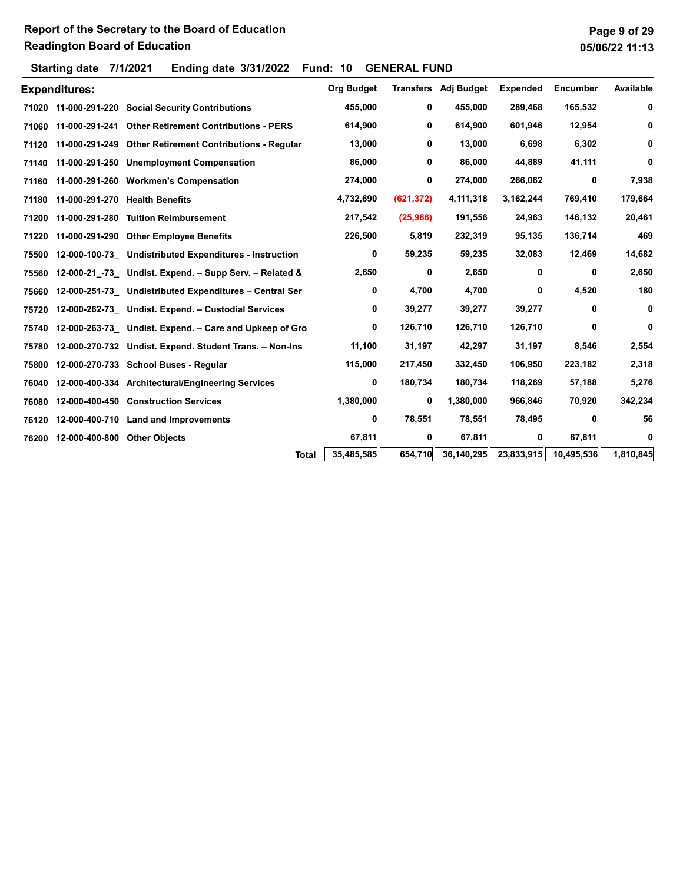|       | <b>Expenditures:</b> |                                                         | <b>Org Budget</b> | Transfers  | Adj Budget | <b>Expended</b> | <b>Encumber</b> | Available |
|-------|----------------------|---------------------------------------------------------|-------------------|------------|------------|-----------------|-----------------|-----------|
|       | 71020 11-000-291-220 | <b>Social Security Contributions</b>                    | 455,000           | 0          | 455,000    | 289,468         | 165,532         | 0         |
| 71060 | 11-000-291-241       | <b>Other Retirement Contributions - PERS</b>            | 614,900           | 0          | 614,900    | 601,946         | 12,954          | 0         |
| 71120 | 11-000-291-249       | <b>Other Retirement Contributions - Regular</b>         | 13,000            | 0          | 13,000     | 6,698           | 6,302           | 0         |
| 71140 | 11-000-291-250       | <b>Unemployment Compensation</b>                        | 86,000            | 0          | 86,000     | 44,889          | 41,111          | 0         |
| 71160 |                      | 11-000-291-260 Workmen's Compensation                   | 274,000           | 0          | 274,000    | 266,062         | 0               | 7,938     |
| 71180 |                      | 11-000-291-270 Health Benefits                          | 4,732,690         | (621, 372) | 4,111,318  | 3,162,244       | 769,410         | 179,664   |
| 71200 |                      | 11-000-291-280 Tuition Reimbursement                    | 217,542           | (25,986)   | 191,556    | 24,963          | 146,132         | 20,461    |
| 71220 |                      | 11-000-291-290 Other Employee Benefits                  | 226,500           | 5,819      | 232,319    | 95,135          | 136,714         | 469       |
| 75500 |                      | 12-000-100-73 Undistributed Expenditures - Instruction  | 0                 | 59,235     | 59,235     | 32,083          | 12,469          | 14,682    |
| 75560 |                      | 12-000-21 -73 Undist. Expend. - Supp Serv. - Related &  | 2,650             | 0          | 2,650      | 0               | 0               | 2,650     |
| 75660 |                      | 12-000-251-73 Undistributed Expenditures - Central Ser  | 0                 | 4,700      | 4,700      | 0               | 4,520           | 180       |
| 75720 |                      | 12-000-262-73 Undist. Expend. - Custodial Services      | 0                 | 39,277     | 39,277     | 39,277          | 0               | 0         |
| 75740 |                      | 12-000-263-73 Undist. Expend. - Care and Upkeep of Gro  | 0                 | 126,710    | 126,710    | 126,710         | 0               | 0         |
| 75780 |                      | 12-000-270-732 Undist. Expend. Student Trans. - Non-Ins | 11,100            | 31,197     | 42,297     | 31,197          | 8,546           | 2,554     |
| 75800 |                      | 12-000-270-733 School Buses - Regular                   | 115,000           | 217,450    | 332,450    | 106,950         | 223,182         | 2,318     |
| 76040 |                      | 12-000-400-334 Architectural/Engineering Services       | 0                 | 180,734    | 180,734    | 118,269         | 57,188          | 5,276     |
| 76080 |                      | 12-000-400-450 Construction Services                    | 1,380,000         | 0          | 1,380,000  | 966,846         | 70,920          | 342,234   |
| 76120 |                      | 12-000-400-710 Land and Improvements                    | 0                 | 78,551     | 78,551     | 78,495          | 0               | 56        |
| 76200 | 12-000-400-800       | <b>Other Objects</b>                                    | 67,811            | 0          | 67,811     | 0               | 67,811          | 0         |
|       |                      | <b>Total</b>                                            | 35,485,585        | 654,710    | 36,140,295 | 23,833,915      | 10,495,536      | 1,810,845 |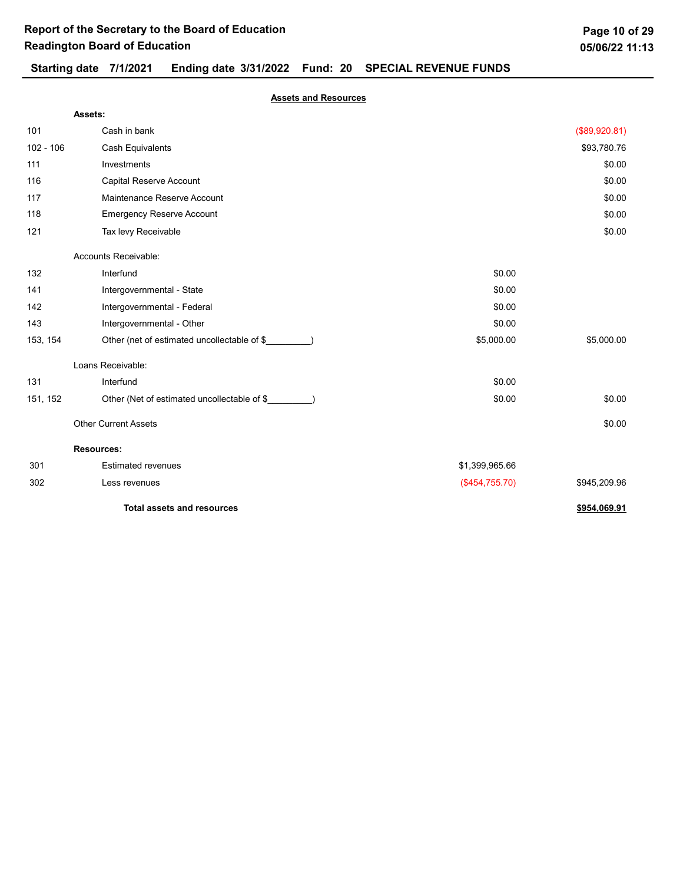## Starting date 7/1/2021 Ending date 3/31/2022 Fund: 20 SPECIAL REVENUE FUNDS

Assets and Resources

|             | Assets:                                     |                |               |
|-------------|---------------------------------------------|----------------|---------------|
| 101         | Cash in bank                                |                | (\$89,920.81) |
| $102 - 106$ | <b>Cash Equivalents</b>                     |                | \$93,780.76   |
| 111         | Investments                                 |                | \$0.00        |
| 116         | Capital Reserve Account                     |                | \$0.00        |
| 117         | Maintenance Reserve Account                 |                | \$0.00        |
| 118         | <b>Emergency Reserve Account</b>            |                | \$0.00        |
| 121         | Tax levy Receivable                         |                | \$0.00        |
|             | Accounts Receivable:                        |                |               |
| 132         | Interfund                                   | \$0.00         |               |
| 141         | Intergovernmental - State                   | \$0.00         |               |
| 142         | Intergovernmental - Federal                 | \$0.00         |               |
| 143         | Intergovernmental - Other                   | \$0.00         |               |
| 153, 154    | Other (net of estimated uncollectable of \$ | \$5,000.00     | \$5,000.00    |
|             | Loans Receivable:                           |                |               |
| 131         | Interfund                                   | \$0.00         |               |
| 151, 152    | Other (Net of estimated uncollectable of \$ | \$0.00         | \$0.00        |
|             | <b>Other Current Assets</b>                 |                | \$0.00        |
|             | <b>Resources:</b>                           |                |               |
| 301         | <b>Estimated revenues</b>                   | \$1,399,965.66 |               |
| 302         | Less revenues                               | (\$454,755.70) | \$945,209.96  |
|             | <b>Total assets and resources</b>           |                | \$954,069.91  |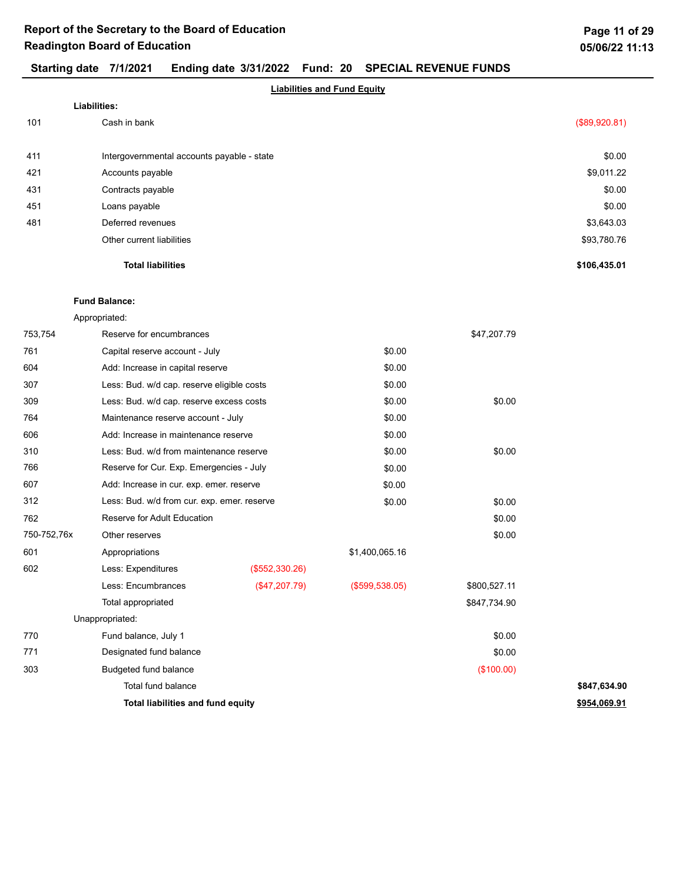## Starting date 7/1/2021 Ending date 3/31/2022 Fund: 20 SPECIAL REVENUE FUNDS

|     | <b>Liabilities and Fund Equity</b>         |               |
|-----|--------------------------------------------|---------------|
|     | Liabilities:                               |               |
| 101 | Cash in bank                               | (\$89,920.81) |
| 411 | Intergovernmental accounts payable - state | \$0.00        |
| 421 | Accounts payable                           | \$9,011.22    |
| 431 | Contracts payable                          | \$0.00        |
| 451 | Loans payable                              | \$0.00        |
| 481 | Deferred revenues                          | \$3,643.03    |
|     | Other current liabilities                  | \$93,780.76   |
|     | <b>Total liabilities</b>                   | \$106,435.01  |

### Fund Balance:

Appropriated:

| 753,754     | Reserve for encumbrances                    |                |                   | \$47,207.79  |              |
|-------------|---------------------------------------------|----------------|-------------------|--------------|--------------|
| 761         | Capital reserve account - July              |                | \$0.00            |              |              |
| 604         | Add: Increase in capital reserve            |                | \$0.00            |              |              |
| 307         | Less: Bud. w/d cap. reserve eligible costs  |                | \$0.00            |              |              |
| 309         | Less: Bud. w/d cap. reserve excess costs    |                | \$0.00            | \$0.00       |              |
| 764         | Maintenance reserve account - July          |                | \$0.00            |              |              |
| 606         | Add: Increase in maintenance reserve        |                | \$0.00            |              |              |
| 310         | Less: Bud. w/d from maintenance reserve     |                | \$0.00            | \$0.00       |              |
| 766         | Reserve for Cur. Exp. Emergencies - July    |                | \$0.00            |              |              |
| 607         | Add: Increase in cur. exp. emer. reserve    |                | \$0.00            |              |              |
| 312         | Less: Bud. w/d from cur. exp. emer. reserve |                | \$0.00            | \$0.00       |              |
| 762         | Reserve for Adult Education                 |                |                   | \$0.00       |              |
| 750-752,76x | Other reserves                              |                |                   | \$0.00       |              |
| 601         | Appropriations                              |                | \$1,400,065.16    |              |              |
| 602         | Less: Expenditures                          | (\$552,330.26) |                   |              |              |
|             | Less: Encumbrances                          | (\$47,207.79)  | $($ \$599,538.05) | \$800,527.11 |              |
|             | Total appropriated                          |                |                   | \$847,734.90 |              |
|             | Unappropriated:                             |                |                   |              |              |
| 770         | Fund balance, July 1                        |                |                   | \$0.00       |              |
| 771         | Designated fund balance                     |                |                   | \$0.00       |              |
| 303         | Budgeted fund balance                       |                |                   | (\$100.00)   |              |
|             | <b>Total fund balance</b>                   |                |                   |              | \$847,634.90 |
|             | Total liabilities and fund equity           |                |                   |              | \$954,069.91 |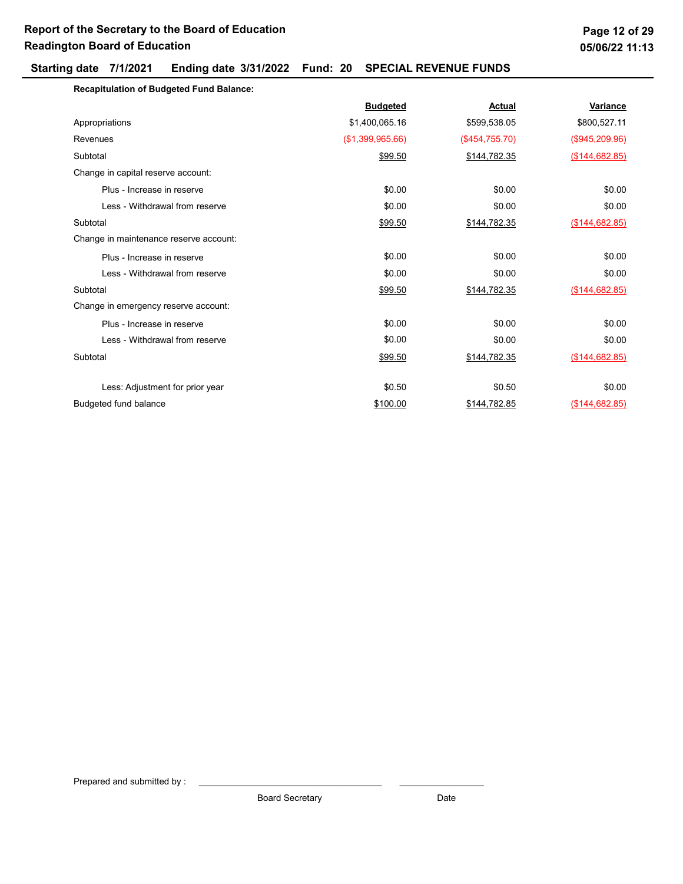## Starting date 7/1/2021 Ending date 3/31/2022 Fund: 20 SPECIAL REVENUE FUNDS

| Page 12 of 29  |  |
|----------------|--|
| 05/06/22 11:13 |  |

| <b>Recapitulation of Budgeted Fund Balance:</b> |                  |                |                |
|-------------------------------------------------|------------------|----------------|----------------|
|                                                 | <b>Budgeted</b>  | Actual         | Variance       |
| Appropriations                                  | \$1,400,065.16   | \$599,538.05   | \$800,527.11   |
| Revenues                                        | (\$1,399,965.66) | (\$454,755.70) | (\$945,209.96) |
| Subtotal                                        | \$99.50          | \$144,782.35   | (\$144,682.85) |
| Change in capital reserve account:              |                  |                |                |
| Plus - Increase in reserve                      | \$0.00           | \$0.00         | \$0.00         |
| Less - Withdrawal from reserve                  | \$0.00           | \$0.00         | \$0.00         |
| Subtotal                                        | \$99.50          | \$144,782.35   | (\$144,682.85) |
| Change in maintenance reserve account:          |                  |                |                |
| Plus - Increase in reserve                      | \$0.00           | \$0.00         | \$0.00         |
| Less - Withdrawal from reserve                  | \$0.00           | \$0.00         | \$0.00         |
| Subtotal                                        | \$99.50          | \$144,782.35   | (\$144,682.85) |
| Change in emergency reserve account:            |                  |                |                |
| Plus - Increase in reserve                      | \$0.00           | \$0.00         | \$0.00         |
| Less - Withdrawal from reserve                  | \$0.00           | \$0.00         | \$0.00         |
| Subtotal                                        | \$99.50          | \$144,782.35   | (\$144,682.85) |
| Less: Adjustment for prior year                 | \$0.50           | \$0.50         | \$0.00         |
| Budgeted fund balance                           | \$100.00         | \$144,782.85   | (\$144,682.85) |

Prepared and submitted by :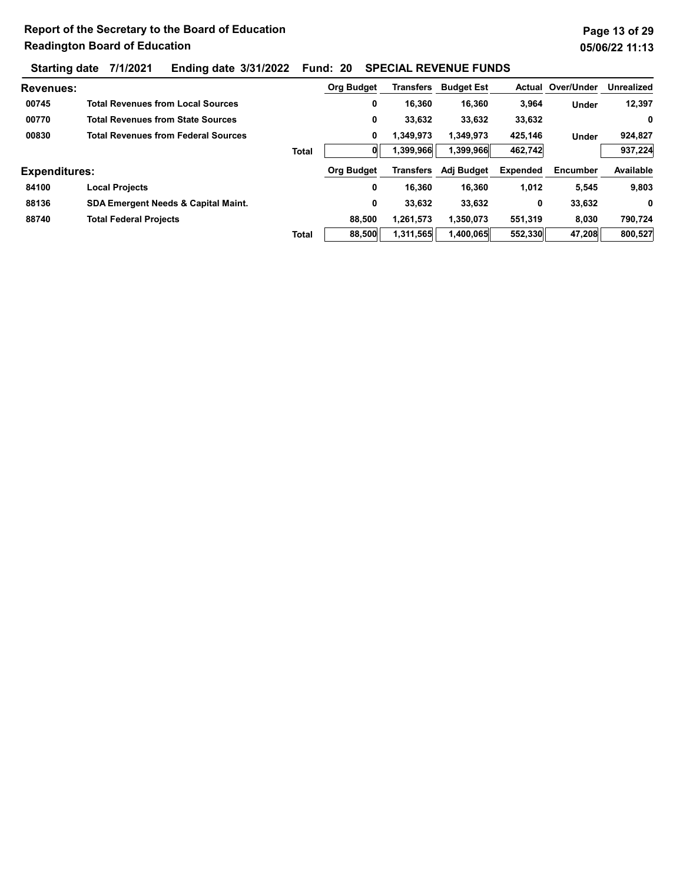Starting date 7/1/2021 Ending date 3/31/2022 Fund: 20 SPECIAL REVENUE FUNDS

| <b>Revenues:</b>     |                                                |              | <b>Org Budget</b> | Transfers | <b>Budget Est</b> | Actual          | Over/Under | <b>Unrealized</b> |
|----------------------|------------------------------------------------|--------------|-------------------|-----------|-------------------|-----------------|------------|-------------------|
| 00745                | <b>Total Revenues from Local Sources</b>       |              | 0                 | 16,360    | 16,360            | 3,964           | Under      | 12,397            |
| 00770                | <b>Total Revenues from State Sources</b>       |              | 0                 | 33,632    | 33,632            | 33,632          |            | 0                 |
| 00830                | <b>Total Revenues from Federal Sources</b>     |              | 0                 | 1,349,973 | 1,349,973         | 425,146         | Under      | 924,827           |
|                      |                                                | <b>Total</b> |                   | 1,399,966 | 1,399,966         | 462,742         |            | 937,224           |
| <b>Expenditures:</b> |                                                |              | <b>Org Budget</b> | Transfers | Adj Budget        | <b>Expended</b> | Encumber   | Available         |
| 84100                | <b>Local Projects</b>                          |              | 0                 | 16,360    | 16,360            | 1,012           | 5,545      | 9,803             |
| 88136                | <b>SDA Emergent Needs &amp; Capital Maint.</b> |              | 0                 | 33,632    | 33,632            | 0               | 33,632     | 0                 |
| 88740                | <b>Total Federal Projects</b>                  |              | 88,500            | 1,261,573 | 1,350,073         | 551,319         | 8,030      | 790,724           |
|                      |                                                | <b>Total</b> | 88,500            | 1,311,565 | 1,400,065         | 552,330         | 47,208     | 800,527           |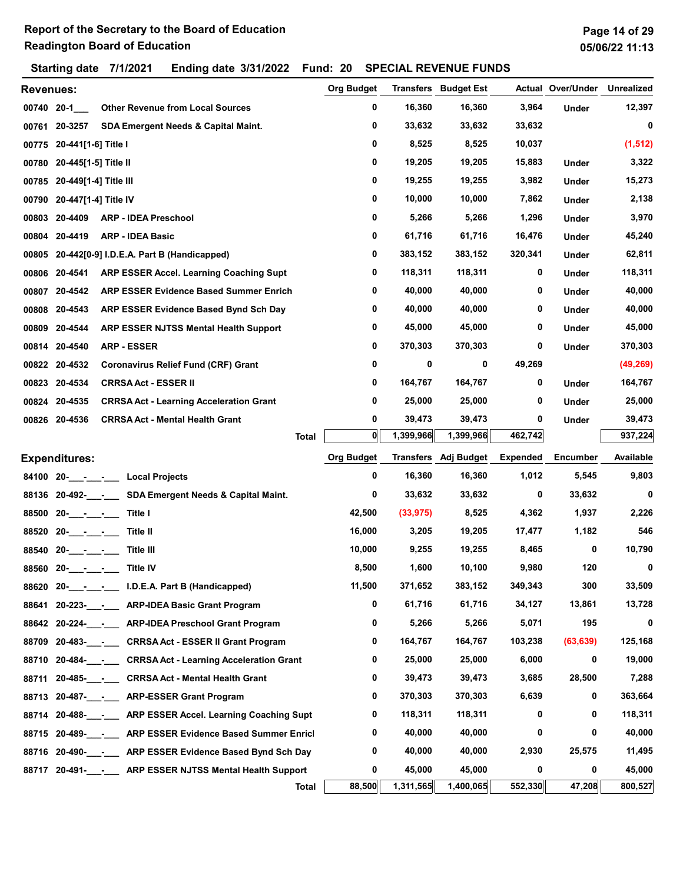Starting date 7/1/2021 Ending date 3/31/2022 Fund: 20 SPECIAL REVENUE FUNDS

| <b>Revenues:</b> |                         |                                                          | <b>Org Budget</b> |           | <b>Transfers</b> Budget Est |                 | <b>Actual Over/Under</b> | <b>Unrealized</b> |
|------------------|-------------------------|----------------------------------------------------------|-------------------|-----------|-----------------------------|-----------------|--------------------------|-------------------|
| 00740 20-1       |                         | <b>Other Revenue from Local Sources</b>                  | 0                 | 16,360    | 16,360                      | 3,964           | <b>Under</b>             | 12,397            |
|                  | 00761 20-3257           | SDA Emergent Needs & Capital Maint.                      | 0                 | 33,632    | 33,632                      | 33,632          |                          | 0                 |
| 00775            | 20-441[1-6] Title I     |                                                          | 0                 | 8,525     | 8,525                       | 10,037          |                          | (1, 512)          |
| 00780            | 20-445[1-5] Title II    |                                                          | 0                 | 19,205    | 19,205                      | 15,883          | Under                    | 3,322             |
| 00785            | 20-449[1-4] Title III   |                                                          | 0                 | 19,255    | 19,255                      | 3,982           | Under                    | 15,273            |
| 00790            | 20-447[1-4] Title IV    |                                                          | 0                 | 10,000    | 10,000                      | 7,862           | Under                    | 2,138             |
| 00803            | 20-4409                 | <b>ARP - IDEA Preschool</b>                              | 0                 | 5,266     | 5,266                       | 1,296           | Under                    | 3,970             |
| 00804            | 20-4419                 | <b>ARP - IDEA Basic</b>                                  | 0                 | 61,716    | 61,716                      | 16,476          | Under                    | 45,240            |
|                  |                         | 00805 20-442[0-9] I.D.E.A. Part B (Handicapped)          | 0                 | 383,152   | 383,152                     | 320,341         | Under                    | 62,811            |
|                  | 00806 20-4541           | ARP ESSER Accel. Learning Coaching Supt                  | 0                 | 118,311   | 118,311                     | 0               | Under                    | 118,311           |
| 00807            | 20-4542                 | ARP ESSER Evidence Based Summer Enrich                   | 0                 | 40,000    | 40,000                      | 0               | Under                    | 40,000            |
| 00808            | 20-4543                 | ARP ESSER Evidence Based Bynd Sch Day                    | 0                 | 40,000    | 40,000                      | 0               | Under                    | 40,000            |
|                  | 00809 20-4544           | ARP ESSER NJTSS Mental Health Support                    | 0                 | 45,000    | 45,000                      | 0               | Under                    | 45,000            |
|                  | 00814 20-4540           | <b>ARP - ESSER</b>                                       | 0                 | 370,303   | 370,303                     | 0               | Under                    | 370,303           |
|                  | 00822 20-4532           | <b>Coronavirus Relief Fund (CRF) Grant</b>               | 0                 | 0         | 0                           | 49,269          |                          | (49, 269)         |
|                  | 00823 20-4534           | <b>CRRSA Act - ESSER II</b>                              | 0                 | 164,767   | 164,767                     | 0               | Under                    | 164,767           |
|                  | 00824 20-4535           | <b>CRRSA Act - Learning Acceleration Grant</b>           | 0                 | 25,000    | 25,000                      | 0               | Under                    | 25,000            |
|                  | 00826 20-4536           | <b>CRRSA Act - Mental Health Grant</b>                   | 0                 | 39,473    | 39,473                      | 0               | Under                    | 39,473            |
|                  |                         | <b>Total</b>                                             | O                 | 1,399,966 | 1,399,966                   | 462,742         |                          | 937,224           |
|                  | <b>Expenditures:</b>    |                                                          | <b>Org Budget</b> |           | Transfers Adj Budget        | <b>Expended</b> | <b>Encumber</b>          | Available         |
|                  |                         |                                                          | 0                 | 16,360    | 16,360                      | 1,012           | 5,545                    | 9,803             |
|                  |                         | 88136 20-492-___-___ SDA Emergent Needs & Capital Maint. | 0                 | 33,632    | 33,632                      | 0               | 33,632                   | 0                 |
| 88500            | $20   -$                | Title I                                                  | 42,500            | (33, 975) | 8,525                       | 4,362           | 1,937                    | 2,226             |
| 88520            | $20 - - -$              | Title II                                                 | 16,000            | 3,205     | 19,205                      | 17,477          | 1,182                    | 546               |
| 88540            | $20 - 7$                | Title III                                                | 10,000            | 9,255     | 19,255                      | 8,465           | 0                        | 10,790            |
|                  | 88560 20- $\frac{1}{2}$ | <b>Title IV</b>                                          | 8,500             | 1,600     | 10,100                      | 9,980           | 120                      | 0                 |
|                  |                         | 88620 20- - - I.D.E.A. Part B (Handicapped)              | 11,500            | 371,652   | 383,152                     | 349,343         | 300                      | 33,509            |
|                  |                         | 88641 20-223- - ARP-IDEA Basic Grant Program             | 0                 | 61,716    | 61,716                      | 34,127          | 13,861                   | 13,728            |
|                  |                         | 88642 20-224- - ARP-IDEA Preschool Grant Program         | 0                 | 5,266     | 5,266                       | 5,071           | 195                      | 0                 |
| 88709            |                         | 20-483- - CRRSA Act - ESSER II Grant Program             | 0                 | 164,767   | 164,767                     | 103,238         | (63, 639)                | 125,168           |
| 88710            | 20-484- -               | <b>CRRSA Act - Learning Acceleration Grant</b>           | 0                 | 25,000    | 25,000                      | 6,000           | 0                        | 19,000            |
| 88711            |                         | 20-485-<br><u> CRRSA Act</u> - Mental Health Grant       | 0                 | 39,473    | 39,473                      | 3,685           | 28,500                   | 7,288             |
|                  |                         | 88713 20-487-___-____ ARP-ESSER Grant Program            | 0                 | 370,303   | 370,303                     | 6,639           | 0                        | 363,664           |
|                  |                         | 88714 20-488- - ARP ESSER Accel. Learning Coaching Supt  | 0                 | 118,311   | 118,311                     | 0               | 0                        | 118,311           |
|                  |                         | 88715 20-489- - ARP ESSER Evidence Based Summer Enricl   | 0                 | 40,000    | 40,000                      | 0               | 0                        | 40,000            |
|                  |                         | 88716 20-490- - ARP ESSER Evidence Based Bynd Sch Day    | 0                 | 40,000    | 40,000                      | 2,930           | 25,575                   | 11,495            |
|                  |                         | 88717 20-491-RRP ESSER NJTSS Mental Health Support       | 0                 | 45,000    | 45,000                      | 0               | 0                        | 45,000            |
|                  |                         | <b>Total</b>                                             | 88,500            | 1,311,565 | 1,400,065                   | 552,330         | 47,208                   | 800,527           |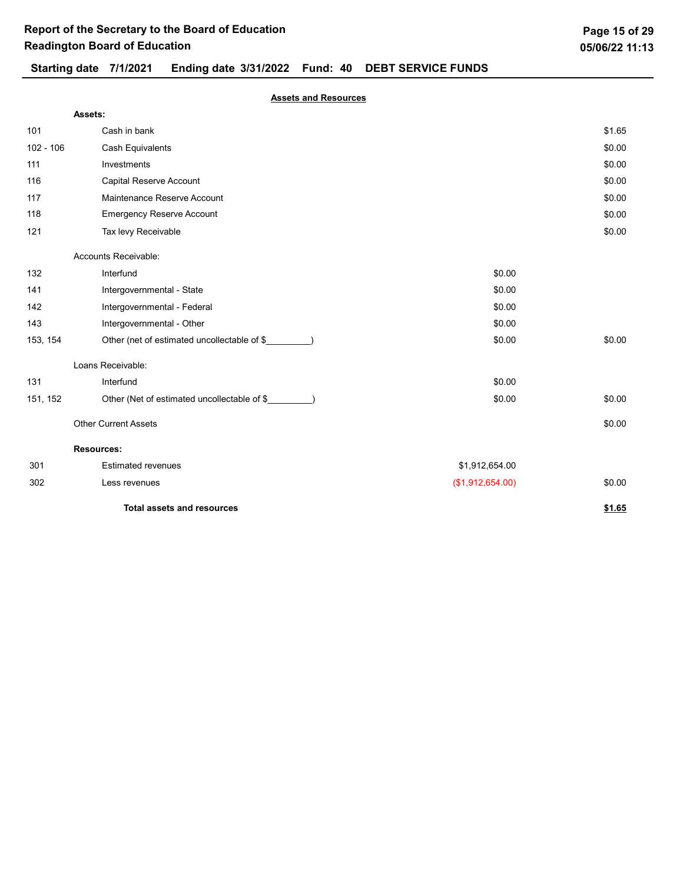|             | Assets:                                     |                  |        |
|-------------|---------------------------------------------|------------------|--------|
| 101         | Cash in bank                                |                  | \$1.65 |
| $102 - 106$ | Cash Equivalents                            |                  | \$0.00 |
| 111         | Investments                                 |                  | \$0.00 |
| 116         | Capital Reserve Account                     |                  | \$0.00 |
| 117         | Maintenance Reserve Account                 |                  | \$0.00 |
| 118         | <b>Emergency Reserve Account</b>            |                  | \$0.00 |
| 121         | Tax levy Receivable                         |                  | \$0.00 |
|             | Accounts Receivable:                        |                  |        |
| 132         | Interfund                                   | \$0.00           |        |
| 141         | Intergovernmental - State                   | \$0.00           |        |
| 142         | Intergovernmental - Federal                 | \$0.00           |        |
| 143         | Intergovernmental - Other                   | \$0.00           |        |
| 153, 154    | Other (net of estimated uncollectable of \$ | \$0.00           | \$0.00 |
|             | Loans Receivable:                           |                  |        |
| 131         | Interfund                                   | \$0.00           |        |
| 151, 152    | Other (Net of estimated uncollectable of \$ | \$0.00           | \$0.00 |
|             | <b>Other Current Assets</b>                 |                  | \$0.00 |
|             | <b>Resources:</b>                           |                  |        |
| 301         | <b>Estimated revenues</b>                   | \$1,912,654.00   |        |
| 302         | Less revenues                               | (\$1,912,654.00) | \$0.00 |
|             | <b>Total assets and resources</b>           |                  | \$1.65 |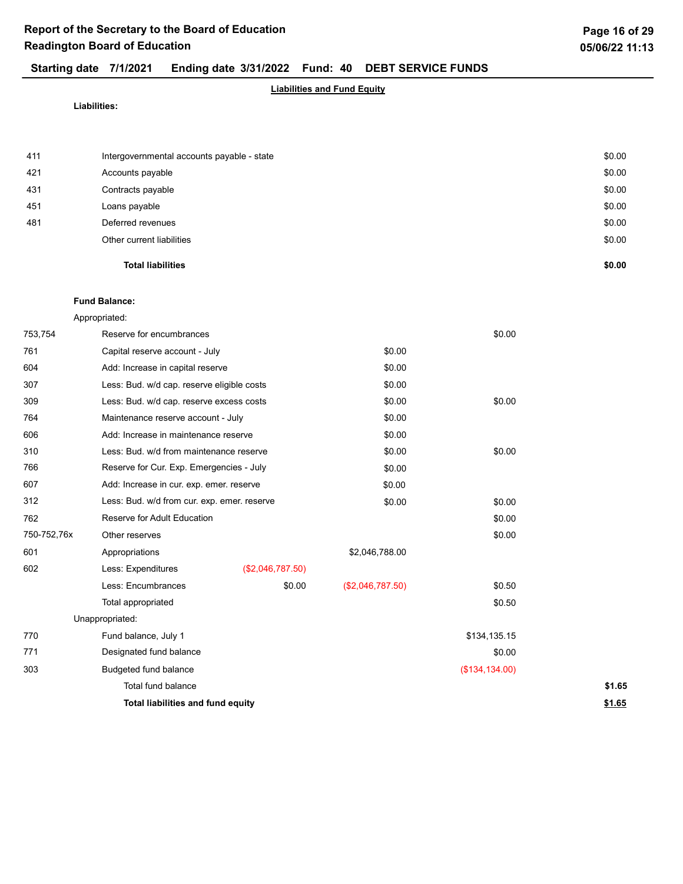## Starting date 7/1/2021 Ending date 3/31/2022 Fund: 40 DEBT SERVICE FUNDS

## Liabilities and Fund Equity

Liabilities:

|     | <b>Total liabilities</b>                   | \$0.00 |
|-----|--------------------------------------------|--------|
|     | Other current liabilities                  | \$0.00 |
| 481 | Deferred revenues                          | \$0.00 |
| 451 | Loans payable                              | \$0.00 |
| 431 | Contracts payable                          | \$0.00 |
| 421 | Accounts payable                           | \$0.00 |
| 411 | Intergovernmental accounts payable - state | \$0.00 |
|     |                                            |        |

### Fund Balance:

Appropriated:

| 753,754     | Reserve for encumbrances                    |                  |                  | \$0.00         |        |
|-------------|---------------------------------------------|------------------|------------------|----------------|--------|
| 761         | Capital reserve account - July              |                  | \$0.00           |                |        |
| 604         | Add: Increase in capital reserve            |                  | \$0.00           |                |        |
| 307         | Less: Bud. w/d cap. reserve eligible costs  |                  | \$0.00           |                |        |
| 309         | Less: Bud. w/d cap. reserve excess costs    |                  | \$0.00           | \$0.00         |        |
| 764         | Maintenance reserve account - July          |                  | \$0.00           |                |        |
| 606         | Add: Increase in maintenance reserve        |                  | \$0.00           |                |        |
| 310         | Less: Bud. w/d from maintenance reserve     |                  | \$0.00           | \$0.00         |        |
| 766         | Reserve for Cur. Exp. Emergencies - July    |                  | \$0.00           |                |        |
| 607         | Add: Increase in cur. exp. emer. reserve    |                  | \$0.00           |                |        |
| 312         | Less: Bud. w/d from cur. exp. emer. reserve |                  | \$0.00           | \$0.00         |        |
| 762         | Reserve for Adult Education                 |                  |                  | \$0.00         |        |
| 750-752,76x | Other reserves                              |                  |                  | \$0.00         |        |
| 601         | Appropriations                              |                  | \$2,046,788.00   |                |        |
| 602         | Less: Expenditures                          | (\$2,046,787.50) |                  |                |        |
|             | Less: Encumbrances                          | \$0.00           | (\$2,046,787.50) | \$0.50         |        |
|             | Total appropriated                          |                  |                  | \$0.50         |        |
|             | Unappropriated:                             |                  |                  |                |        |
| 770         | Fund balance, July 1                        |                  |                  | \$134,135.15   |        |
| 771         | Designated fund balance                     |                  |                  | \$0.00         |        |
| 303         | Budgeted fund balance                       |                  |                  | (\$134,134.00) |        |
|             | Total fund balance                          |                  |                  |                | \$1.65 |
|             | Total liabilities and fund equity           |                  |                  |                | \$1.65 |
|             |                                             |                  |                  |                |        |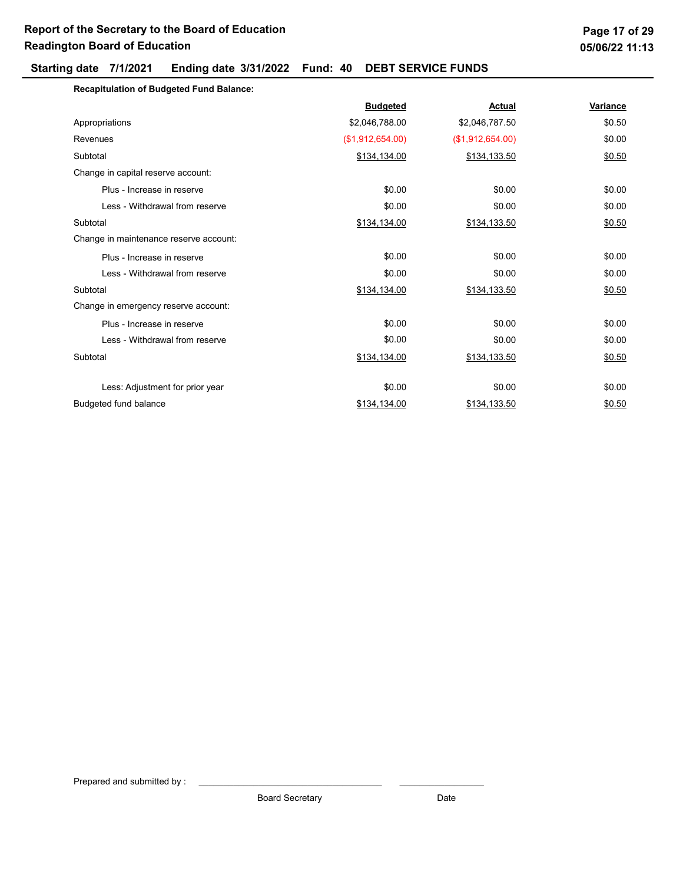| <b>Recapitulation of Budgeted Fund Balance:</b> |                  |                  |          |
|-------------------------------------------------|------------------|------------------|----------|
|                                                 | <b>Budgeted</b>  | Actual           | Variance |
| Appropriations                                  | \$2,046,788.00   | \$2,046,787.50   | \$0.50   |
| Revenues                                        | (\$1,912,654.00) | (\$1,912,654.00) | \$0.00   |
| Subtotal                                        | \$134,134.00     | \$134,133.50     | \$0.50   |
| Change in capital reserve account:              |                  |                  |          |
| Plus - Increase in reserve                      | \$0.00           | \$0.00           | \$0.00   |
| Less - Withdrawal from reserve                  | \$0.00           | \$0.00           | \$0.00   |
| Subtotal                                        | \$134,134.00     | \$134,133.50     | \$0.50   |
| Change in maintenance reserve account:          |                  |                  |          |
| Plus - Increase in reserve                      | \$0.00           | \$0.00           | \$0.00   |
| Less - Withdrawal from reserve                  | \$0.00           | \$0.00           | \$0.00   |
| Subtotal                                        | \$134,134.00     | \$134,133.50     | \$0.50   |
| Change in emergency reserve account:            |                  |                  |          |
| Plus - Increase in reserve                      | \$0.00           | \$0.00           | \$0.00   |
| Less - Withdrawal from reserve                  | \$0.00           | \$0.00           | \$0.00   |
| Subtotal                                        | \$134,134.00     | \$134,133.50     | \$0.50   |
| Less: Adjustment for prior year                 | \$0.00           | \$0.00           | \$0.00   |
| <b>Budgeted fund balance</b>                    | \$134,134.00     | \$134,133.50     | \$0.50   |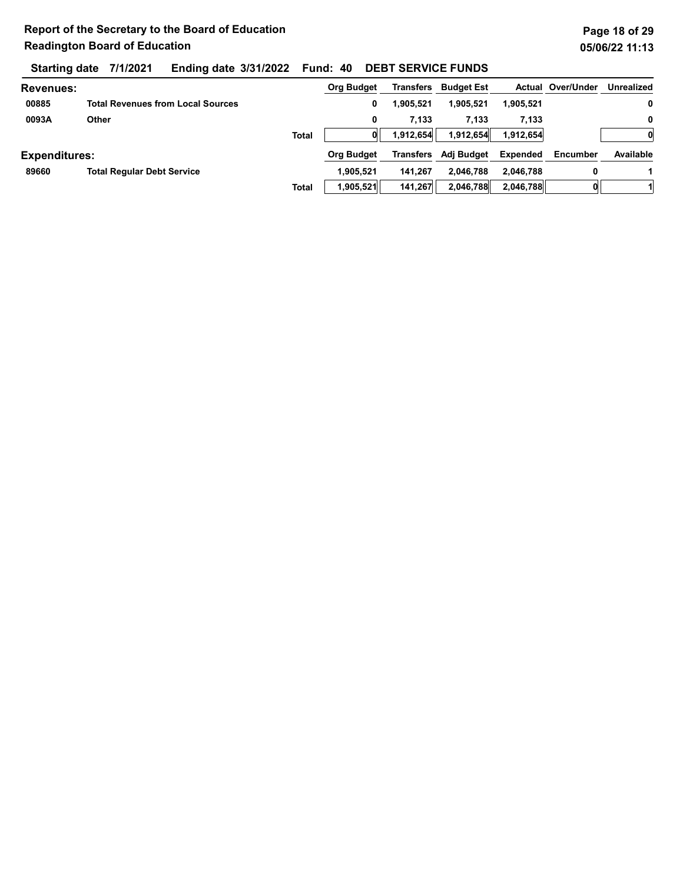| <b>Revenues:</b>     |                                          |              | <b>Org Budget</b> | Transfers | <b>Budget Est</b> |                 | <b>Actual Over/Under</b> | Unrealized |
|----------------------|------------------------------------------|--------------|-------------------|-----------|-------------------|-----------------|--------------------------|------------|
| 00885                | <b>Total Revenues from Local Sources</b> |              | 0                 | 1,905,521 | 1,905,521         | 1,905,521       |                          | 0          |
| 0093A                | Other                                    |              | 0                 | 7.133     | 7.133             | 7,133           |                          | 0          |
|                      |                                          | <b>Total</b> |                   | 1,912,654 | 1,912,654         | 1,912,654       |                          | 0          |
| <b>Expenditures:</b> |                                          |              | <b>Org Budget</b> | Transfers | Adj Budget        | <b>Expended</b> | Encumber                 | Available  |
| 89660                | <b>Total Regular Debt Service</b>        |              | 1.905.521         | 141.267   | 2.046.788         | 2.046.788       | 0                        |            |
|                      |                                          | <b>Total</b> | 1,905,521         | 141,267   | 2,046,788         | 2,046,788       |                          |            |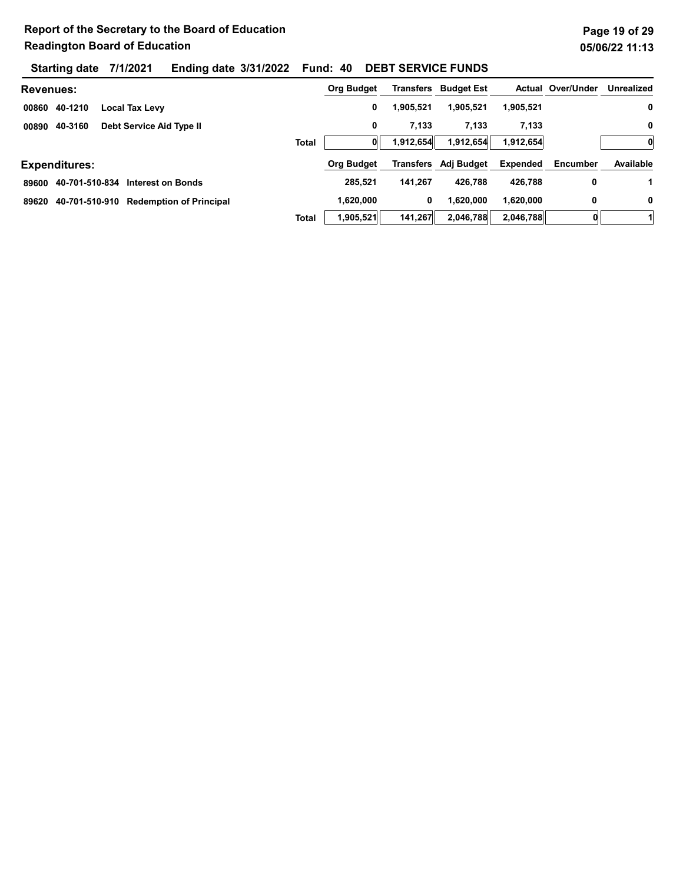| <b>Revenues:</b>                                |              | Org Budget        |           | <b>Transfers</b> Budget Est |                 | <b>Actual Over/Under</b> | Unrealized |
|-------------------------------------------------|--------------|-------------------|-----------|-----------------------------|-----------------|--------------------------|------------|
| 40-1210<br><b>Local Tax Levy</b><br>00860       |              | 0                 | 1,905,521 | 1.905.521                   | 1,905,521       |                          | 0          |
| 40-3160<br>Debt Service Aid Type II<br>00890    |              | 0                 | 7,133     | 7,133                       | 7,133           |                          | 0          |
|                                                 | <b>Total</b> |                   | 1,912,654 | 1,912,654                   | 1,912,654       |                          | 0          |
| <b>Expenditures:</b>                            |              | <b>Org Budget</b> | Transfers | Adj Budget                  | <b>Expended</b> | Encumber                 | Available  |
| 40-701-510-834<br>89600<br>Interest on Bonds    |              | 285.521           | 141.267   | 426.788                     | 426.788         | 0                        |            |
| 40-701-510-910 Redemption of Principal<br>89620 |              | 1.620.000         | 0         | 1,620,000                   | 1,620,000       | 0                        | 0          |
|                                                 | <b>Total</b> | 1,905,521         | 141,267   | 2,046,788                   | 2,046,788       |                          |            |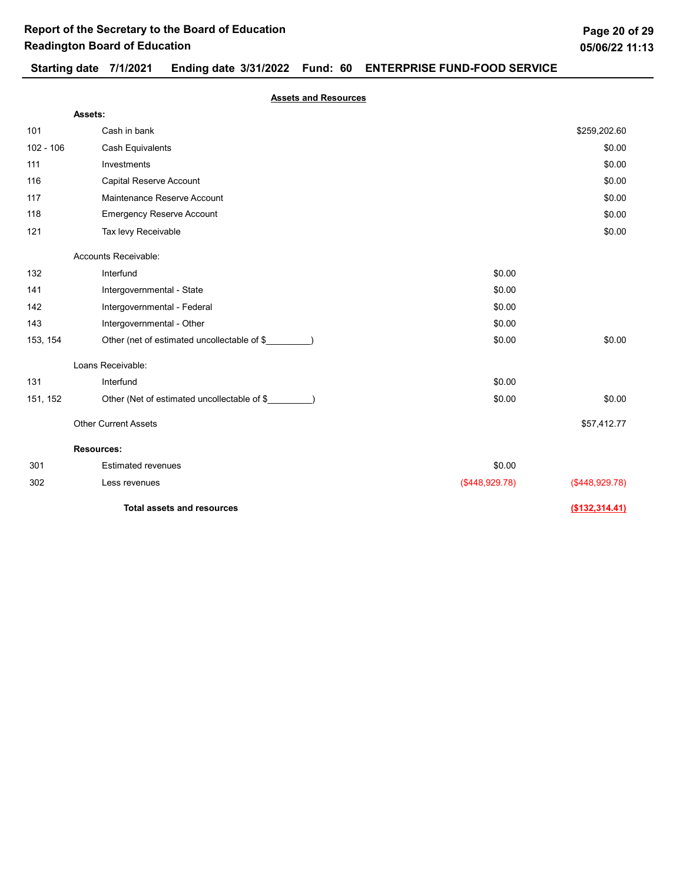## Starting date 7/1/2021 Ending date 3/31/2022 Fund: 60 ENTERPRISE FUND-FOOD SERVICE

Assets and Resources

|             | Assets:                                     |                |                  |
|-------------|---------------------------------------------|----------------|------------------|
| 101         | Cash in bank                                |                | \$259,202.60     |
| $102 - 106$ | <b>Cash Equivalents</b>                     |                | \$0.00           |
| 111         | Investments                                 |                | \$0.00           |
| 116         | Capital Reserve Account                     |                | \$0.00           |
| 117         | Maintenance Reserve Account                 |                | \$0.00           |
| 118         | <b>Emergency Reserve Account</b>            |                | \$0.00           |
| 121         | Tax levy Receivable                         |                | \$0.00           |
|             | Accounts Receivable:                        |                |                  |
| 132         | Interfund                                   | \$0.00         |                  |
| 141         | Intergovernmental - State                   | \$0.00         |                  |
| 142         | Intergovernmental - Federal                 | \$0.00         |                  |
| 143         | Intergovernmental - Other                   | \$0.00         |                  |
| 153, 154    | Other (net of estimated uncollectable of \$ | \$0.00         | \$0.00           |
|             | Loans Receivable:                           |                |                  |
| 131         | Interfund                                   | \$0.00         |                  |
| 151, 152    | Other (Net of estimated uncollectable of \$ | \$0.00         | \$0.00           |
|             | <b>Other Current Assets</b>                 |                | \$57,412.77      |
|             | <b>Resources:</b>                           |                |                  |
| 301         | <b>Estimated revenues</b>                   | \$0.00         |                  |
| 302         | Less revenues                               | (\$448,929.78) | ( \$448, 929.78) |
|             | <b>Total assets and resources</b>           |                | (\$132,314.41)   |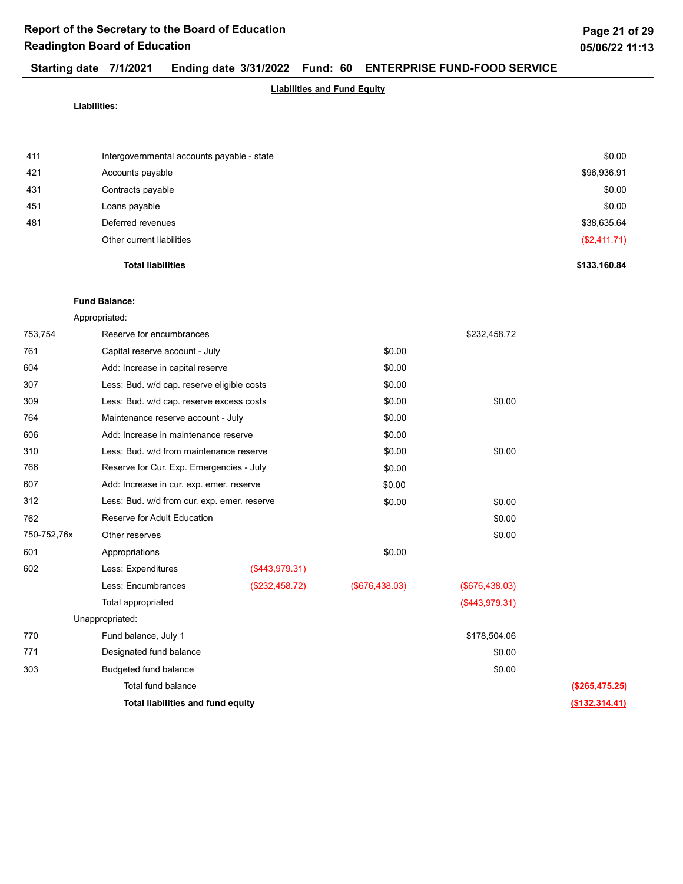## Starting date 7/1/2021 Ending date 3/31/2022 Fund: 60 ENTERPRISE FUND-FOOD SERVICE

## Liabilities and Fund Equity

Liabilities:

| 411<br>421 | Intergovernmental accounts payable - state<br>Accounts payable | \$0.00<br>\$96,936.91 |
|------------|----------------------------------------------------------------|-----------------------|
| 431        | Contracts payable                                              | \$0.00                |
| 451        | Loans payable                                                  | \$0.00                |
| 481        | Deferred revenues                                              | \$38,635.64           |
|            | Other current liabilities                                      | (\$2,411.71)          |
|            | <b>Total liabilities</b>                                       | \$133,160.84          |

### Fund Balance:

Appropriated:

| 753,754     | Reserve for encumbrances                    |                |                   | \$232,458.72   |                |
|-------------|---------------------------------------------|----------------|-------------------|----------------|----------------|
|             |                                             |                |                   |                |                |
| 761         | Capital reserve account - July              |                | \$0.00            |                |                |
| 604         | Add: Increase in capital reserve            |                | \$0.00            |                |                |
| 307         | Less: Bud. w/d cap. reserve eligible costs  |                | \$0.00            |                |                |
| 309         | Less: Bud. w/d cap. reserve excess costs    |                | \$0.00            | \$0.00         |                |
| 764         | Maintenance reserve account - July          |                | \$0.00            |                |                |
| 606         | Add: Increase in maintenance reserve        |                | \$0.00            |                |                |
| 310         | Less: Bud. w/d from maintenance reserve     |                | \$0.00            | \$0.00         |                |
| 766         | Reserve for Cur. Exp. Emergencies - July    |                | \$0.00            |                |                |
| 607         | Add: Increase in cur. exp. emer. reserve    |                | \$0.00            |                |                |
| 312         | Less: Bud. w/d from cur. exp. emer. reserve |                | \$0.00            | \$0.00         |                |
| 762         | Reserve for Adult Education                 |                |                   | \$0.00         |                |
| 750-752,76x | Other reserves                              |                |                   | \$0.00         |                |
| 601         | Appropriations                              |                | \$0.00            |                |                |
| 602         | Less: Expenditures                          | (\$443,979.31) |                   |                |                |
|             | Less: Encumbrances                          | (\$232,458.72) | $($ \$676,438.03) | (\$676,438.03) |                |
|             | Total appropriated                          |                |                   | (\$443,979.31) |                |
|             | Unappropriated:                             |                |                   |                |                |
| 770         | Fund balance, July 1                        |                |                   | \$178,504.06   |                |
| 771         | Designated fund balance                     |                |                   | \$0.00         |                |
| 303         | Budgeted fund balance                       |                |                   | \$0.00         |                |
|             | Total fund balance                          |                |                   |                | (\$265,475.25) |
|             | Total liabilities and fund equity           |                |                   |                | (\$132,314.41) |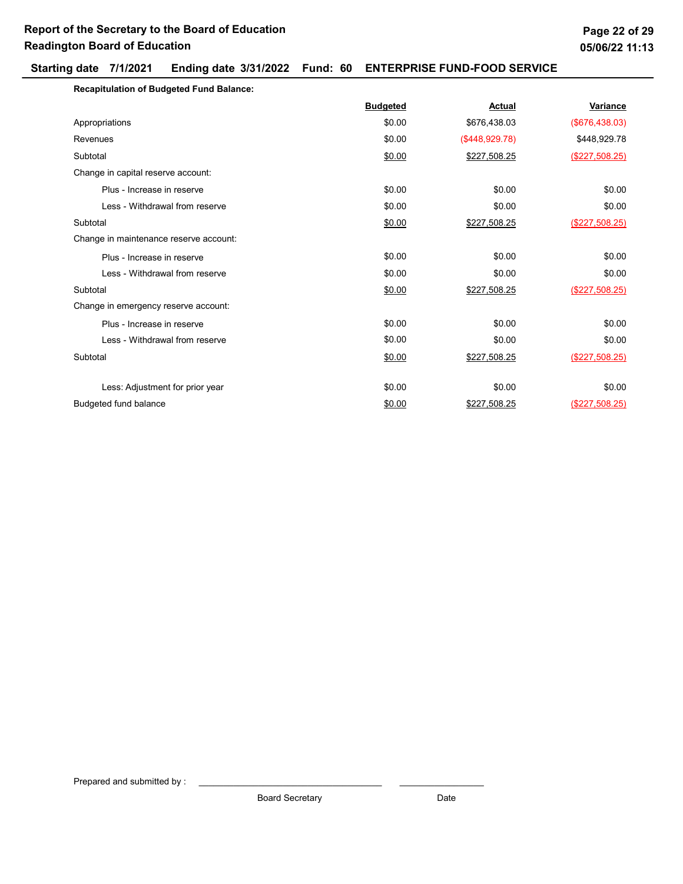## Starting date 7/1/2021 Ending date 3/31/2022 Fund: 60 ENTERPRISE FUND-FOOD SERVICE

| <b>Recapitulation of Budgeted Fund Balance:</b> |                 |                |                  |
|-------------------------------------------------|-----------------|----------------|------------------|
|                                                 | <b>Budgeted</b> | Actual         | Variance         |
| Appropriations                                  | \$0.00          | \$676,438.03   | (\$676,438.03)   |
| Revenues                                        | \$0.00          | (\$448,929.78) | \$448,929.78     |
| Subtotal                                        | \$0.00          | \$227,508.25   | $(\$227,508.25)$ |
| Change in capital reserve account:              |                 |                |                  |
| Plus - Increase in reserve                      | \$0.00          | \$0.00         | \$0.00           |
| Less - Withdrawal from reserve                  | \$0.00          | \$0.00         | \$0.00           |
| Subtotal                                        | \$0.00          | \$227,508.25   | (\$227,508.25)   |
| Change in maintenance reserve account:          |                 |                |                  |
| Plus - Increase in reserve                      | \$0.00          | \$0.00         | \$0.00           |
| Less - Withdrawal from reserve                  | \$0.00          | \$0.00         | \$0.00           |
| Subtotal                                        | \$0.00          | \$227,508.25   | $(\$227,508.25)$ |
| Change in emergency reserve account:            |                 |                |                  |
| Plus - Increase in reserve                      | \$0.00          | \$0.00         | \$0.00           |
| Less - Withdrawal from reserve                  | \$0.00          | \$0.00         | \$0.00           |
| Subtotal                                        | \$0.00          | \$227,508.25   | (\$227,508.25)   |
|                                                 |                 |                |                  |
| Less: Adjustment for prior year                 | \$0.00          | \$0.00         | \$0.00           |
| Budgeted fund balance                           | \$0.00          | \$227,508.25   | (\$227,508.25)   |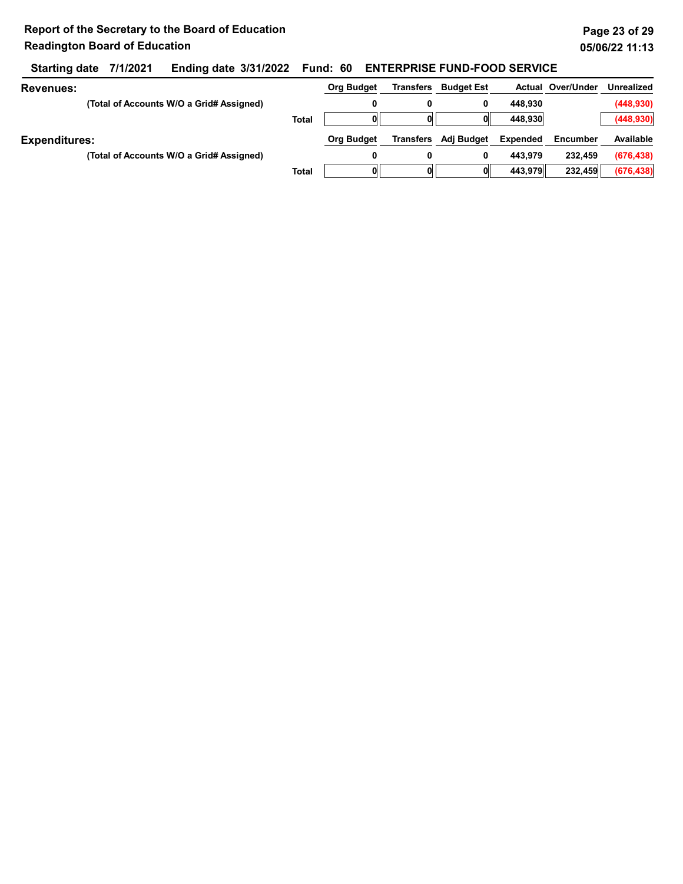## Starting date 7/1/2021 Ending date 3/31/2022 Fund: 60 ENTERPRISE FUND-FOOD SERVICE

| <b>Revenues:</b>     |                                          |              | <b>Org Budget</b> | <b>Transfers</b> | <b>Budget Est</b> |          | <b>Actual Over/Under</b> | <b>Unrealized</b> |
|----------------------|------------------------------------------|--------------|-------------------|------------------|-------------------|----------|--------------------------|-------------------|
|                      | (Total of Accounts W/O a Grid# Assigned) |              | 0                 | 0                | 0                 | 448.930  |                          | (448, 930)        |
|                      |                                          | <b>Total</b> |                   |                  |                   | 448.930  |                          | (448, 930)        |
| <b>Expenditures:</b> |                                          |              | <b>Org Budget</b> | Transfers        | Adj Budget        | Expended | Encumber                 | Available         |
|                      | (Total of Accounts W/O a Grid# Assigned) |              | 0                 | 0                | 0                 | 443.979  | 232.459                  | (676, 438)        |
|                      |                                          | <b>Total</b> |                   | O                |                   | 443.979  | 232.459                  | (676, 438)        |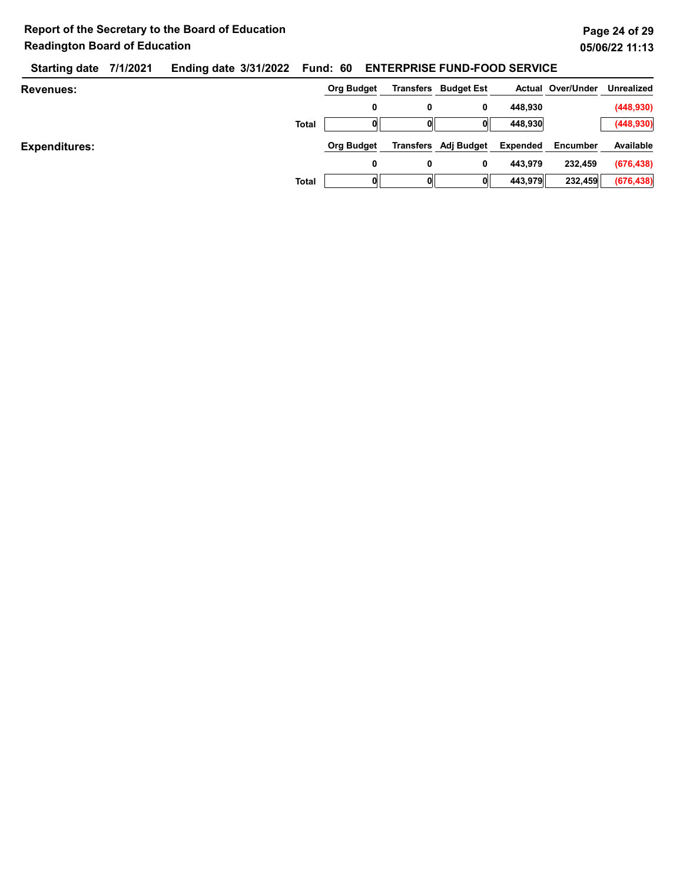|                  | Starting date 7/1/2021 Ending date 3/31/2022 Fund: 60 ENTERPRISE FUND-FOOD SERVICE |  |                                 |                              |  |
|------------------|------------------------------------------------------------------------------------|--|---------------------------------|------------------------------|--|
| <b>Revenues:</b> |                                                                                    |  | Org Budget Transfers Budget Est | Actual Over/Under Unrealized |  |

| <b>Total</b>         | 0                 | 0 | 0<br>0                      | 448,930<br>448,930 |          | (448, 930)<br>(448, 930) |
|----------------------|-------------------|---|-----------------------------|--------------------|----------|--------------------------|
| <b>Expenditures:</b> | <b>Org Budget</b> |   | <b>Transfers</b> Adj Budget | Expended           | Encumber | Available                |
|                      | 0                 | 0 | 0                           | 443,979            | 232,459  | (676, 438)               |
| <b>Total</b>         |                   |   | O                           | 443,979            | 232,459  | (676, 438)               |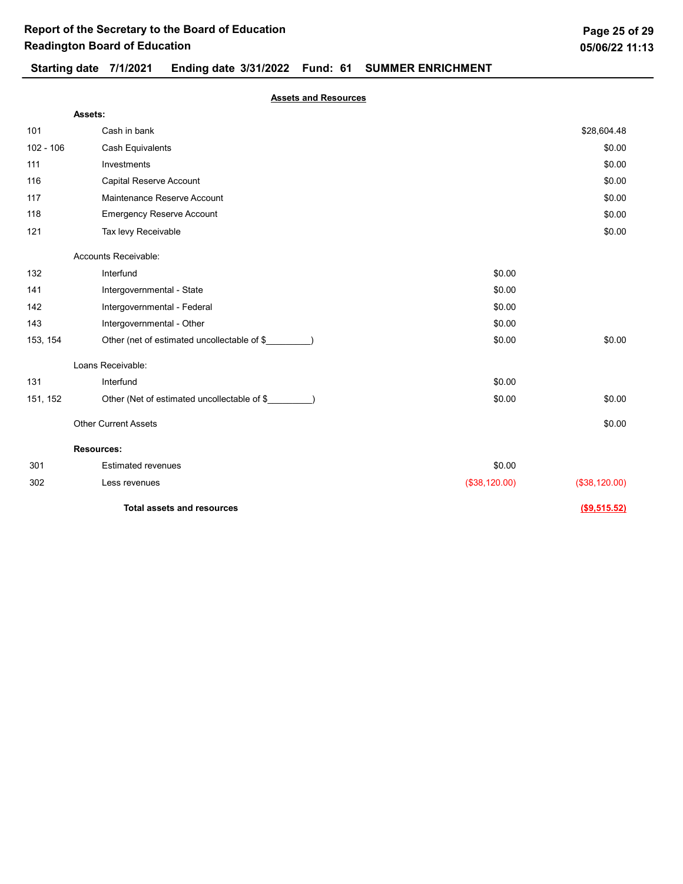## Starting date 7/1/2021 Ending date 3/31/2022 Fund: 61 SUMMER ENRICHMENT

### Assets and Resources

|             | Assets:                                     |               |               |
|-------------|---------------------------------------------|---------------|---------------|
| 101         | Cash in bank                                |               | \$28,604.48   |
| $102 - 106$ | Cash Equivalents                            |               | \$0.00        |
| 111         | Investments                                 |               | \$0.00        |
| 116         | Capital Reserve Account                     |               | \$0.00        |
| 117         | Maintenance Reserve Account                 |               | \$0.00        |
| 118         | <b>Emergency Reserve Account</b>            |               | \$0.00        |
| 121         | Tax levy Receivable                         |               | \$0.00        |
|             | Accounts Receivable:                        |               |               |
| 132         | Interfund                                   | \$0.00        |               |
| 141         | Intergovernmental - State                   | \$0.00        |               |
| 142         | Intergovernmental - Federal                 | \$0.00        |               |
| 143         | Intergovernmental - Other                   | \$0.00        |               |
| 153, 154    | Other (net of estimated uncollectable of \$ | \$0.00        | \$0.00        |
|             | Loans Receivable:                           |               |               |
| 131         | Interfund                                   | \$0.00        |               |
| 151, 152    | Other (Net of estimated uncollectable of \$ | \$0.00        | \$0.00        |
|             | <b>Other Current Assets</b>                 |               | \$0.00        |
|             | <b>Resources:</b>                           |               |               |
| 301         | <b>Estimated revenues</b>                   | \$0.00        |               |
| 302         | Less revenues                               | (\$38,120.00) | (\$38,120.00) |
|             | <b>Total assets and resources</b>           |               | (\$9,515.52)  |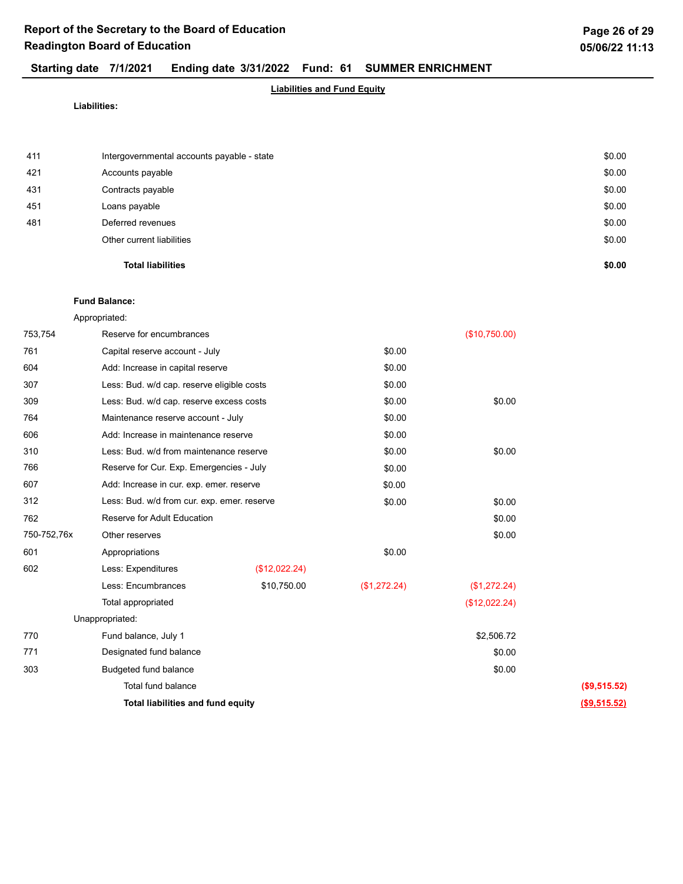## Starting date 7/1/2021 Ending date 3/31/2022 Fund: 61 SUMMER ENRICHMENT

## Liabilities and Fund Equity

Liabilities:

| <b>Total liabilities</b>  | \$0.00                                                         |
|---------------------------|----------------------------------------------------------------|
| Other current liabilities | \$0.00                                                         |
| Deferred revenues         | \$0.00                                                         |
| Loans payable             | \$0.00                                                         |
| Contracts payable         | \$0.00                                                         |
|                           | \$0.00                                                         |
|                           | \$0.00                                                         |
|                           | Intergovernmental accounts payable - state<br>Accounts payable |

### Fund Balance:

Appropriated:

| 753,754     | Reserve for encumbrances                    |               |              | (\$10,750.00) |              |
|-------------|---------------------------------------------|---------------|--------------|---------------|--------------|
| 761         | Capital reserve account - July              |               | \$0.00       |               |              |
| 604         | Add: Increase in capital reserve            |               | \$0.00       |               |              |
| 307         | Less: Bud. w/d cap. reserve eligible costs  |               | \$0.00       |               |              |
| 309         | Less: Bud. w/d cap. reserve excess costs    |               | \$0.00       | \$0.00        |              |
| 764         | Maintenance reserve account - July          |               | \$0.00       |               |              |
| 606         | Add: Increase in maintenance reserve        |               | \$0.00       |               |              |
| 310         | Less: Bud. w/d from maintenance reserve     |               | \$0.00       | \$0.00        |              |
| 766         | Reserve for Cur. Exp. Emergencies - July    |               | \$0.00       |               |              |
| 607         | Add: Increase in cur. exp. emer. reserve    |               | \$0.00       |               |              |
| 312         | Less: Bud. w/d from cur. exp. emer. reserve |               | \$0.00       | \$0.00        |              |
| 762         | Reserve for Adult Education                 |               |              | \$0.00        |              |
| 750-752,76x | Other reserves                              |               |              | \$0.00        |              |
| 601         | Appropriations                              |               | \$0.00       |               |              |
| 602         | Less: Expenditures                          | (\$12,022.24) |              |               |              |
|             | Less: Encumbrances                          | \$10,750.00   | (\$1,272.24) | (\$1,272.24)  |              |
|             | Total appropriated                          |               |              | (\$12,022.24) |              |
|             | Unappropriated:                             |               |              |               |              |
| 770         | Fund balance, July 1                        |               |              | \$2,506.72    |              |
| 771         | Designated fund balance                     |               |              | \$0.00        |              |
| 303         | Budgeted fund balance                       |               |              | \$0.00        |              |
|             | Total fund balance                          |               |              |               | (\$9,515.52) |
|             | Total liabilities and fund equity           |               |              |               | (\$9,515.52) |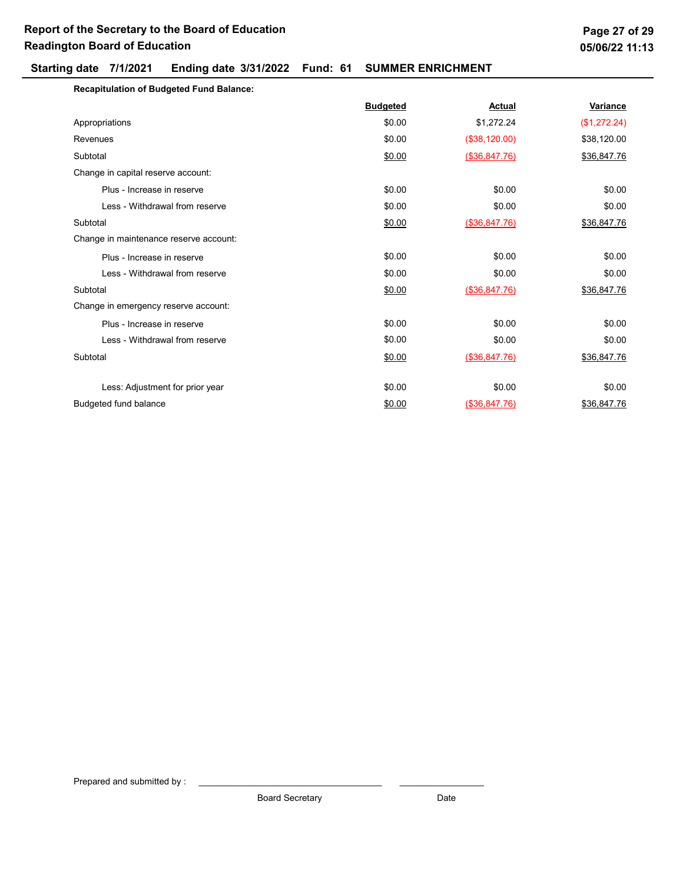## Starting date 7/1/2021 Ending date 3/31/2022 Fund: 61 SUMMER ENRICHMENT

| <b>Recapitulation of Budgeted Fund Balance:</b> |                 |               |              |
|-------------------------------------------------|-----------------|---------------|--------------|
|                                                 | <b>Budgeted</b> | Actual        | Variance     |
| Appropriations                                  | \$0.00          | \$1,272.24    | (\$1,272.24) |
| Revenues                                        | \$0.00          | (\$38,120.00) | \$38,120.00  |
| Subtotal                                        | \$0.00          | (\$36,847.76) | \$36,847.76  |
| Change in capital reserve account:              |                 |               |              |
| Plus - Increase in reserve                      | \$0.00          | \$0.00        | \$0.00       |
| Less - Withdrawal from reserve                  | \$0.00          | \$0.00        | \$0.00       |
| Subtotal                                        | \$0.00          | (\$36,847.76) | \$36,847.76  |
| Change in maintenance reserve account:          |                 |               |              |
| Plus - Increase in reserve                      | \$0.00          | \$0.00        | \$0.00       |
| Less - Withdrawal from reserve                  | \$0.00          | \$0.00        | \$0.00       |
| Subtotal                                        | \$0.00          | (\$36,847.76) | \$36,847.76  |
| Change in emergency reserve account:            |                 |               |              |
| Plus - Increase in reserve                      | \$0.00          | \$0.00        | \$0.00       |
| Less - Withdrawal from reserve                  | \$0.00          | \$0.00        | \$0.00       |
| Subtotal                                        | \$0.00          | (\$36,847.76) | \$36,847.76  |
|                                                 |                 |               |              |
| Less: Adjustment for prior year                 | \$0.00          | \$0.00        | \$0.00       |
| Budgeted fund balance                           | \$0.00          | (\$36,847.76) | \$36,847.76  |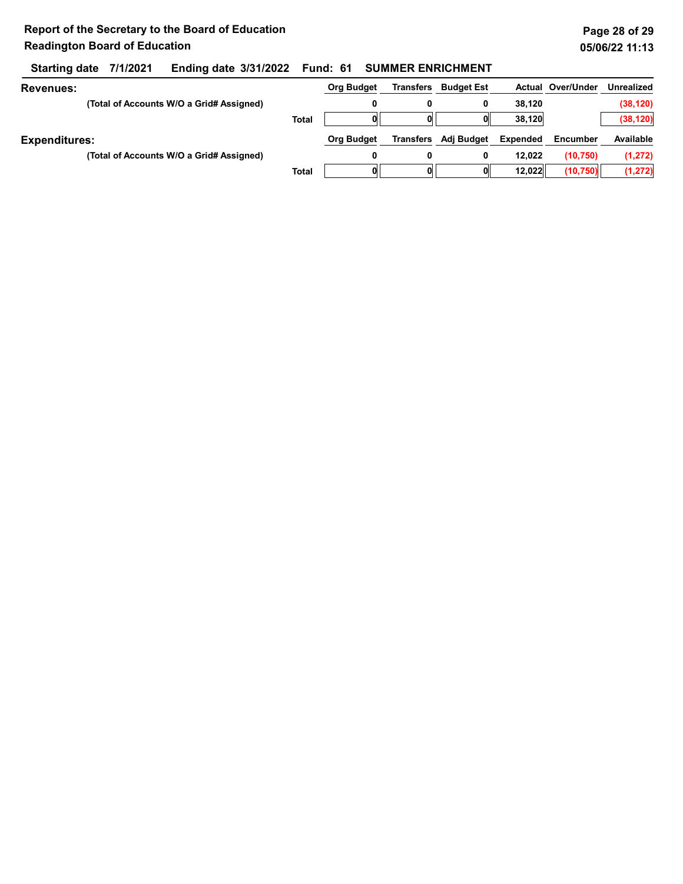## Starting date 7/1/2021 Ending date 3/31/2022 Fund: 61 SUMMER ENRICHMENT

| Revenues:            |                                          |              | <b>Org Budget</b> | <b>Transfers</b> | <b>Budget Est</b> |          | <b>Actual Over/Under</b> | <b>Unrealized</b> |
|----------------------|------------------------------------------|--------------|-------------------|------------------|-------------------|----------|--------------------------|-------------------|
|                      | (Total of Accounts W/O a Grid# Assigned) |              |                   |                  | 0                 | 38.120   |                          | (38, 120)         |
|                      |                                          | <b>Total</b> |                   |                  | O                 | 38,120   |                          | (38, 120)         |
| <b>Expenditures:</b> |                                          |              | <b>Org Budget</b> | <b>Transfers</b> | Adj Budget        | Expended | <b>Encumber</b>          | Available         |
|                      | (Total of Accounts W/O a Grid# Assigned) |              |                   |                  | 0                 | 12.022   | (10, 750)                | (1, 272)          |
|                      |                                          | Total        |                   |                  | O                 | 12.022   | (10, 750)                | (1, 272)          |